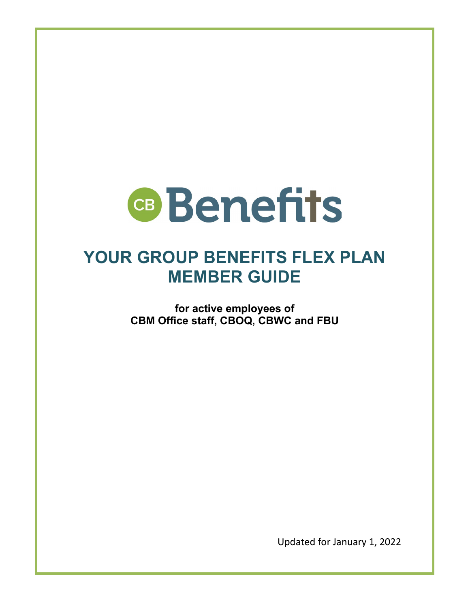

## **YOUR GROUP BENEFITS FLEX PLAN MEMBER GUIDE**

**for active employees of CBM Office staff, CBOQ, CBWC and FBU**

Updated for January 1, 2022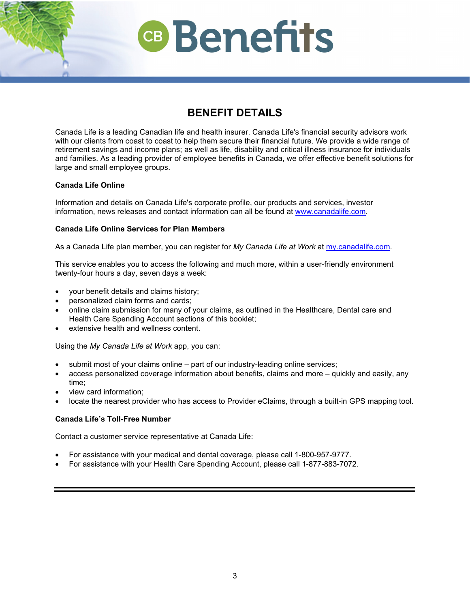## **BENEFIT DETAILS**

Canada Life is a leading Canadian life and health insurer. Canada Life's financial security advisors work with our clients from coast to coast to help them secure their financial future. We provide a wide range of retirement savings and income plans; as well as life, disability and critical illness insurance for individuals and families. As a leading provider of employee benefits in Canada, we offer effective benefit solutions for large and small employee groups.

## **Canada Life Online**

Information and details on Canada Life's corporate profile, our products and services, investor information, news releases and contact information can all be found at [www.canadalife.com.](https://www.canadalife.com/)

## **Canada Life Online Services for Plan Members**

As a Canada Life plan member, you can register for *My Canada Life at Work* at [my.canadalife.com.](https://my.canadalife.com/climsMyLogin)

This service enables you to access the following and much more, within a user-friendly environment twenty-four hours a day, seven days a week:

- your benefit details and claims history;
- personalized claim forms and cards;
- online claim submission for many of your claims, as outlined in the Healthcare, Dental care and Health Care Spending Account sections of this booklet;
- extensive health and wellness content.

Using the *My Canada Life at Work* app, you can:

- submit most of your claims online part of our industry-leading online services;
- access personalized coverage information about benefits, claims and more quickly and easily, any time;
- view card information;
- locate the nearest provider who has access to Provider eClaims, through a built-in GPS mapping tool.

## **Canada Life's Toll-Free Number**

Contact a customer service representative at Canada Life:

- For assistance with your medical and dental coverage, please call 1-800-957-9777.
- For assistance with your Health Care Spending Account, please call 1-877-883-7072.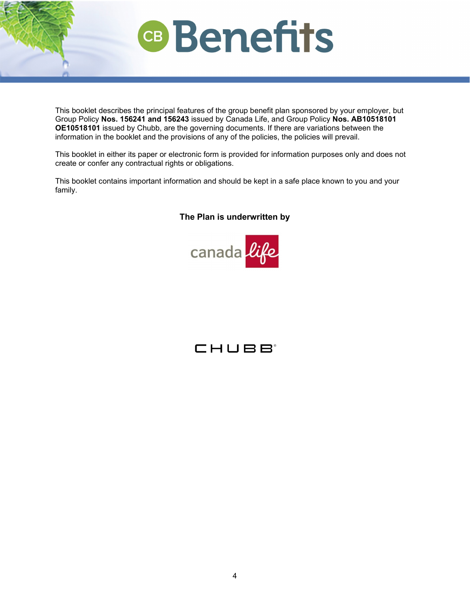

This booklet describes the principal features of the group benefit plan sponsored by your employer, but Group Policy **Nos. 156241 and 156243** issued by Canada Life, and Group Policy **Nos. AB10518101 OE10518101** issued by Chubb, are the governing documents. If there are variations between the information in the booklet and the provisions of any of the policies, the policies will prevail.

This booklet in either its paper or electronic form is provided for information purposes only and does not create or confer any contractual rights or obligations.

This booklet contains important information and should be kept in a safe place known to you and your family.

## **The Plan is underwritten by**



## CHUBB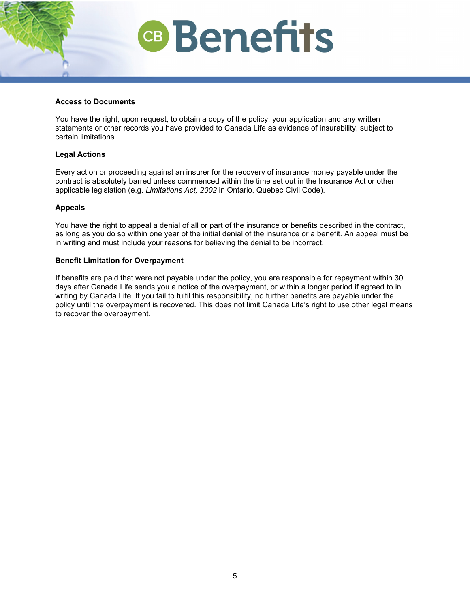### **Access to Documents**

You have the right, upon request, to obtain a copy of the policy, your application and any written statements or other records you have provided to Canada Life as evidence of insurability, subject to certain limitations.

## **Legal Actions**

Every action or proceeding against an insurer for the recovery of insurance money payable under the contract is absolutely barred unless commenced within the time set out in the Insurance Act or other applicable legislation (e.g. *Limitations Act, 2002* in Ontario, Quebec Civil Code).

## **Appeals**

You have the right to appeal a denial of all or part of the insurance or benefits described in the contract, as long as you do so within one year of the initial denial of the insurance or a benefit. An appeal must be in writing and must include your reasons for believing the denial to be incorrect.

### **Benefit Limitation for Overpayment**

If benefits are paid that were not payable under the policy, you are responsible for repayment within 30 days after Canada Life sends you a notice of the overpayment, or within a longer period if agreed to in writing by Canada Life. If you fail to fulfil this responsibility, no further benefits are payable under the policy until the overpayment is recovered. This does not limit Canada Life's right to use other legal means to recover the overpayment.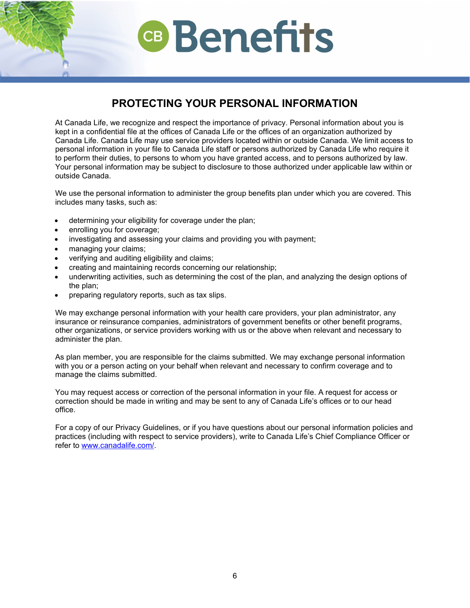## **PROTECTING YOUR PERSONAL INFORMATION**

At Canada Life, we recognize and respect the importance of privacy. Personal information about you is kept in a confidential file at the offices of Canada Life or the offices of an organization authorized by Canada Life. Canada Life may use service providers located within or outside Canada. We limit access to personal information in your file to Canada Life staff or persons authorized by Canada Life who require it to perform their duties, to persons to whom you have granted access, and to persons authorized by law. Your personal information may be subject to disclosure to those authorized under applicable law within or outside Canada.

We use the personal information to administer the group benefits plan under which you are covered. This includes many tasks, such as:

- determining your eligibility for coverage under the plan;
- enrolling you for coverage;
- investigating and assessing your claims and providing you with payment;
- managing your claims;
- verifying and auditing eligibility and claims;
- creating and maintaining records concerning our relationship;
- underwriting activities, such as determining the cost of the plan, and analyzing the design options of the plan;
- preparing regulatory reports, such as tax slips.

We may exchange personal information with your health care providers, your plan administrator, any insurance or reinsurance companies, administrators of government benefits or other benefit programs, other organizations, or service providers working with us or the above when relevant and necessary to administer the plan.

As plan member, you are responsible for the claims submitted. We may exchange personal information with you or a person acting on your behalf when relevant and necessary to confirm coverage and to manage the claims submitted.

You may request access or correction of the personal information in your file. A request for access or correction should be made in writing and may be sent to any of Canada Life's offices or to our head office.

For a copy of our Privacy Guidelines, or if you have questions about our personal information policies and practices (including with respect to service providers), write to Canada Life's Chief Compliance Officer or refer to [www.canadalife.com/.](https://www.canadalife.com/)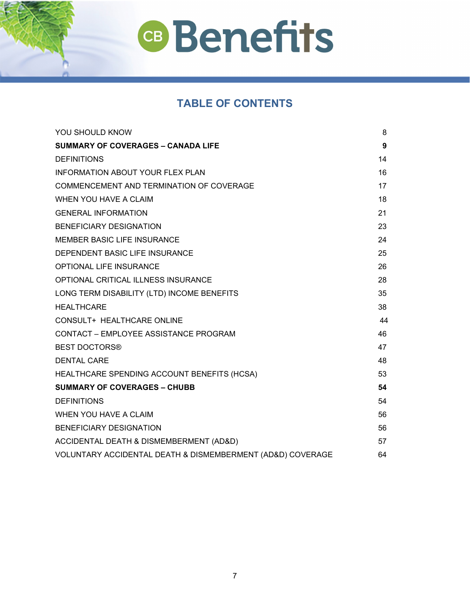## **TABLE OF CONTENTS**

| <b>YOU SHOULD KNOW</b>                                     | 8                |
|------------------------------------------------------------|------------------|
| <b>SUMMARY OF COVERAGES - CANADA LIFE</b>                  | $\boldsymbol{9}$ |
| <b>DEFINITIONS</b>                                         | 14               |
| INFORMATION ABOUT YOUR FLEX PLAN                           | 16               |
| COMMENCEMENT AND TERMINATION OF COVERAGE                   | 17               |
| WHEN YOU HAVE A CLAIM                                      | 18               |
| <b>GENERAL INFORMATION</b>                                 | 21               |
| <b>BENEFICIARY DESIGNATION</b>                             | 23               |
| <b>MEMBER BASIC LIFE INSURANCE</b>                         | 24               |
| DEPENDENT BASIC LIFE INSURANCE                             | 25               |
| <b>OPTIONAL LIFE INSURANCE</b>                             | 26               |
| OPTIONAL CRITICAL ILLNESS INSURANCE                        | 28               |
| LONG TERM DISABILITY (LTD) INCOME BENEFITS                 | 35               |
| <b>HEALTHCARE</b>                                          | 38               |
| CONSULT+ HEALTHCARE ONLINE                                 | 44               |
| CONTACT - EMPLOYEE ASSISTANCE PROGRAM                      | 46               |
| <b>BEST DOCTORS®</b>                                       | 47               |
| <b>DENTAL CARE</b>                                         | 48               |
| HEALTHCARE SPENDING ACCOUNT BENEFITS (HCSA)                | 53               |
| <b>SUMMARY OF COVERAGES - CHUBB</b>                        | 54               |
| <b>DEFINITIONS</b>                                         | 54               |
| WHEN YOU HAVE A CLAIM                                      | 56               |
| <b>BENEFICIARY DESIGNATION</b>                             | 56               |
| ACCIDENTAL DEATH & DISMEMBERMENT (AD&D)                    | 57               |
| VOLUNTARY ACCIDENTAL DEATH & DISMEMBERMENT (AD&D) COVERAGE | 64               |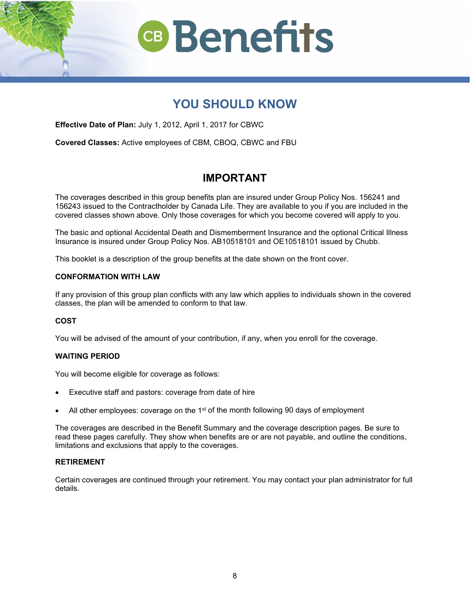

## **YOU SHOULD KNOW**

<span id="page-6-0"></span>**Effective Date of Plan:** July 1, 2012, April 1, 2017 for CBWC

**Covered Classes:** Active employees of CBM, CBOQ, CBWC and FBU

## **IMPORTANT**

The coverages described in this group benefits plan are insured under Group Policy Nos. 156241 and 156243 issued to the Contractholder by Canada Life. They are available to you if you are included in the covered classes shown above. Only those coverages for which you become covered will apply to you.

The basic and optional Accidental Death and Dismemberment Insurance and the optional Critical Illness Insurance is insured under Group Policy Nos. AB10518101 and OE10518101 issued by Chubb.

This booklet is a description of the group benefits at the date shown on the front cover.

## **CONFORMATION WITH LAW**

If any provision of this group plan conflicts with any law which applies to individuals shown in the covered classes, the plan will be amended to conform to that law.

## **COST**

You will be advised of the amount of your contribution, if any, when you enroll for the coverage.

### **WAITING PERIOD**

You will become eligible for coverage as follows:

- Executive staff and pastors: coverage from date of hire
- All other employees: coverage on the  $1<sup>st</sup>$  of the month following 90 days of employment

The coverages are described in the Benefit Summary and the coverage description pages. Be sure to read these pages carefully. They show when benefits are or are not payable, and outline the conditions, limitations and exclusions that apply to the coverages.

### **RETIREMENT**

Certain coverages are continued through your retirement. You may contact your plan administrator for full details.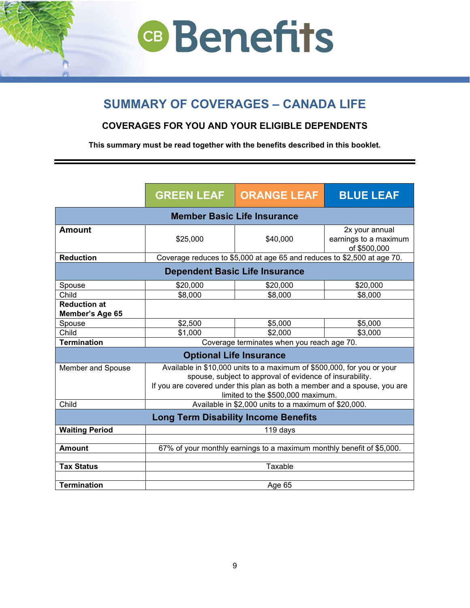## <span id="page-7-0"></span>**SUMMARY OF COVERAGES – CANADA LIFE**

## **COVERAGES FOR YOU AND YOUR ELIGIBLE DEPENDENTS**

**This summary must be read together with the benefits described in this booklet.**

|                                             | <b>GREEN LEAF</b>                                                                                                                                                                                                                                    | <b>ORANGE LEAF</b>                                                      | <b>BLUE LEAF</b>                                        |
|---------------------------------------------|------------------------------------------------------------------------------------------------------------------------------------------------------------------------------------------------------------------------------------------------------|-------------------------------------------------------------------------|---------------------------------------------------------|
|                                             |                                                                                                                                                                                                                                                      | <b>Member Basic Life Insurance</b>                                      |                                                         |
| <b>Amount</b>                               | \$25,000                                                                                                                                                                                                                                             | \$40,000                                                                | 2x your annual<br>earnings to a maximum<br>of \$500,000 |
| <b>Reduction</b>                            |                                                                                                                                                                                                                                                      | Coverage reduces to \$5,000 at age 65 and reduces to \$2,500 at age 70. |                                                         |
|                                             |                                                                                                                                                                                                                                                      | <b>Dependent Basic Life Insurance</b>                                   |                                                         |
| Spouse                                      | \$20,000                                                                                                                                                                                                                                             | \$20,000                                                                | \$20,000                                                |
| Child                                       | \$8,000                                                                                                                                                                                                                                              | \$8,000                                                                 | \$8,000                                                 |
| <b>Reduction at</b><br>Member's Age 65      |                                                                                                                                                                                                                                                      |                                                                         |                                                         |
| Spouse                                      | \$2,500                                                                                                                                                                                                                                              | \$5,000                                                                 | \$5,000                                                 |
| Child                                       | \$1,000                                                                                                                                                                                                                                              | \$2,000                                                                 | \$3,000                                                 |
| <b>Termination</b>                          | Coverage terminates when you reach age 70.                                                                                                                                                                                                           |                                                                         |                                                         |
| <b>Optional Life Insurance</b>              |                                                                                                                                                                                                                                                      |                                                                         |                                                         |
| Member and Spouse                           | Available in \$10,000 units to a maximum of \$500,000, for you or your<br>spouse, subject to approval of evidence of insurability.<br>If you are covered under this plan as both a member and a spouse, you are<br>limited to the \$500,000 maximum. |                                                                         |                                                         |
| Child                                       | Available in \$2,000 units to a maximum of \$20,000.                                                                                                                                                                                                 |                                                                         |                                                         |
| <b>Long Term Disability Income Benefits</b> |                                                                                                                                                                                                                                                      |                                                                         |                                                         |
| <b>Waiting Period</b>                       |                                                                                                                                                                                                                                                      | 119 days                                                                |                                                         |
|                                             |                                                                                                                                                                                                                                                      |                                                                         |                                                         |
| <b>Amount</b>                               |                                                                                                                                                                                                                                                      | 67% of your monthly earnings to a maximum monthly benefit of \$5,000.   |                                                         |
| <b>Tax Status</b>                           |                                                                                                                                                                                                                                                      | Taxable                                                                 |                                                         |
|                                             |                                                                                                                                                                                                                                                      |                                                                         |                                                         |
| <b>Termination</b>                          |                                                                                                                                                                                                                                                      | Age 65                                                                  |                                                         |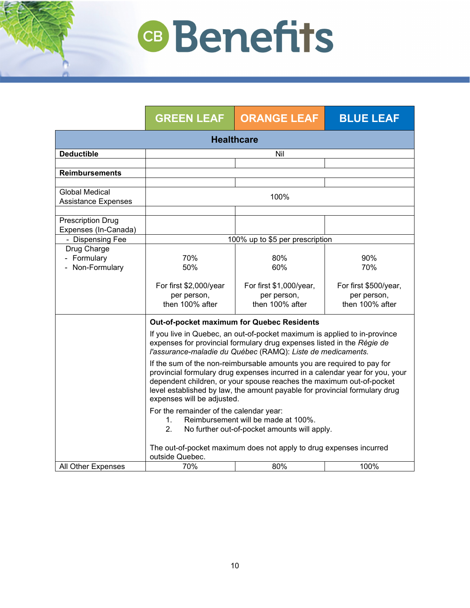|                                                     | <b>GREEN LEAF</b>                                                                                                                                                                                                                                                                                                                          | <b>ORANGE LEAF</b>                                        | <b>BLUE LEAF</b>                                        |
|-----------------------------------------------------|--------------------------------------------------------------------------------------------------------------------------------------------------------------------------------------------------------------------------------------------------------------------------------------------------------------------------------------------|-----------------------------------------------------------|---------------------------------------------------------|
| <b>Healthcare</b>                                   |                                                                                                                                                                                                                                                                                                                                            |                                                           |                                                         |
| <b>Deductible</b>                                   |                                                                                                                                                                                                                                                                                                                                            | Nil                                                       |                                                         |
|                                                     |                                                                                                                                                                                                                                                                                                                                            |                                                           |                                                         |
| <b>Reimbursements</b>                               |                                                                                                                                                                                                                                                                                                                                            |                                                           |                                                         |
| <b>Global Medical</b><br><b>Assistance Expenses</b> |                                                                                                                                                                                                                                                                                                                                            | 100%                                                      |                                                         |
| <b>Prescription Drug</b><br>Expenses (In-Canada)    |                                                                                                                                                                                                                                                                                                                                            |                                                           |                                                         |
| - Dispensing Fee                                    |                                                                                                                                                                                                                                                                                                                                            | 100% up to \$5 per prescription                           |                                                         |
| Drug Charge<br>- Formulary<br>- Non-Formulary       | 70%<br>50%                                                                                                                                                                                                                                                                                                                                 | 80%<br>60%                                                | 90%<br>70%                                              |
|                                                     | For first \$2,000/year<br>per person,<br>then 100% after                                                                                                                                                                                                                                                                                   | For first \$1,000/year,<br>per person,<br>then 100% after | For first \$500/year,<br>per person,<br>then 100% after |
|                                                     | Out-of-pocket maximum for Quebec Residents                                                                                                                                                                                                                                                                                                 |                                                           |                                                         |
|                                                     | If you live in Quebec, an out-of-pocket maximum is applied to in-province<br>expenses for provincial formulary drug expenses listed in the Régie de<br>l'assurance-maladie du Québec (RAMQ): Liste de medicaments.                                                                                                                         |                                                           |                                                         |
|                                                     | If the sum of the non-reimbursable amounts you are required to pay for<br>provincial formulary drug expenses incurred in a calendar year for you, your<br>dependent children, or your spouse reaches the maximum out-of-pocket<br>level established by law, the amount payable for provincial formulary drug<br>expenses will be adjusted. |                                                           |                                                         |
|                                                     | For the remainder of the calendar year:<br>Reimbursement will be made at 100%.<br>$1_{-}$<br>2.<br>No further out-of-pocket amounts will apply.                                                                                                                                                                                            |                                                           |                                                         |
|                                                     | The out-of-pocket maximum does not apply to drug expenses incurred<br>outside Quebec.                                                                                                                                                                                                                                                      |                                                           |                                                         |
| All Other Expenses                                  | 70%                                                                                                                                                                                                                                                                                                                                        | 80%                                                       | 100%                                                    |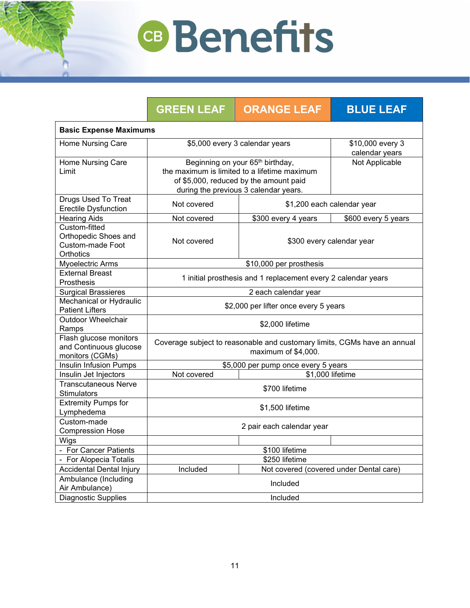|                                                                               | <b>GREEN LEAF</b>                                                                                                                                                               | <b>ORANGE LEAF</b>                      | <b>BLUE LEAF</b>                   |
|-------------------------------------------------------------------------------|---------------------------------------------------------------------------------------------------------------------------------------------------------------------------------|-----------------------------------------|------------------------------------|
| <b>Basic Expense Maximums</b>                                                 |                                                                                                                                                                                 |                                         |                                    |
| Home Nursing Care                                                             |                                                                                                                                                                                 | \$5,000 every 3 calendar years          | \$10,000 every 3<br>calendar years |
| Home Nursing Care<br>Limit                                                    | Beginning on your 65 <sup>th</sup> birthday,<br>the maximum is limited to a lifetime maximum<br>of \$5,000, reduced by the amount paid<br>during the previous 3 calendar years. |                                         | Not Applicable                     |
| <b>Drugs Used To Treat</b><br><b>Erectile Dysfunction</b>                     | Not covered                                                                                                                                                                     | \$1,200 each calendar year              |                                    |
| <b>Hearing Aids</b>                                                           | Not covered                                                                                                                                                                     | \$300 every 4 years                     | \$600 every 5 years                |
| Custom-fitted<br>Orthopedic Shoes and<br><b>Custom-made Foot</b><br>Orthotics | Not covered                                                                                                                                                                     | \$300 every calendar year               |                                    |
| Myoelectric Arms                                                              | \$10,000 per prosthesis                                                                                                                                                         |                                         |                                    |
| <b>External Breast</b><br>Prosthesis                                          | 1 initial prosthesis and 1 replacement every 2 calendar years                                                                                                                   |                                         |                                    |
| <b>Surgical Brassieres</b>                                                    | 2 each calendar year                                                                                                                                                            |                                         |                                    |
| Mechanical or Hydraulic<br><b>Patient Lifters</b>                             | \$2,000 per lifter once every 5 years                                                                                                                                           |                                         |                                    |
| <b>Outdoor Wheelchair</b><br>Ramps                                            | \$2,000 lifetime                                                                                                                                                                |                                         |                                    |
| Flash glucose monitors<br>and Continuous glucose<br>monitors (CGMs)           | Coverage subject to reasonable and customary limits, CGMs have an annual<br>maximum of \$4,000.                                                                                 |                                         |                                    |
| Insulin Infusion Pumps                                                        | \$5,000 per pump once every 5 years                                                                                                                                             |                                         |                                    |
| Insulin Jet Injectors                                                         | \$1,000 lifetime<br>Not covered                                                                                                                                                 |                                         |                                    |
| <b>Transcutaneous Nerve</b><br><b>Stimulators</b>                             | \$700 lifetime                                                                                                                                                                  |                                         |                                    |
| <b>Extremity Pumps for</b><br>Lymphedema                                      | \$1,500 lifetime                                                                                                                                                                |                                         |                                    |
| Custom-made<br><b>Compression Hose</b>                                        | 2 pair each calendar year                                                                                                                                                       |                                         |                                    |
| Wigs                                                                          |                                                                                                                                                                                 |                                         |                                    |
| - For Cancer Patients                                                         |                                                                                                                                                                                 | \$100 lifetime                          |                                    |
| - For Alopecia Totalis                                                        |                                                                                                                                                                                 | \$250 lifetime                          |                                    |
| Accidental Dental Injury                                                      | Included                                                                                                                                                                        | Not covered (covered under Dental care) |                                    |
| Ambulance (Including<br>Air Ambulance)                                        | Included                                                                                                                                                                        |                                         |                                    |
| <b>Diagnostic Supplies</b>                                                    | Included                                                                                                                                                                        |                                         |                                    |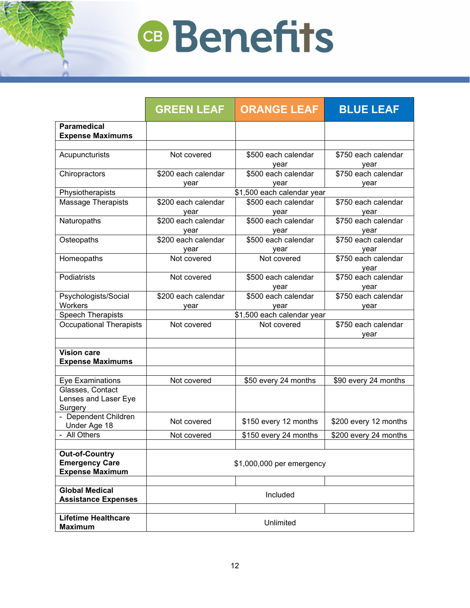|                                                                          | <b>GREEN LEAF</b>           | <b>ORANGE LEAF</b>          | <b>BLUE LEAF</b>            |
|--------------------------------------------------------------------------|-----------------------------|-----------------------------|-----------------------------|
| <b>Paramedical</b><br><b>Expense Maximums</b>                            |                             |                             |                             |
| Acupuncturists                                                           | Not covered                 | \$500 each calendar<br>year | \$750 each calendar<br>year |
| Chiropractors                                                            | \$200 each calendar<br>year | \$500 each calendar<br>year | \$750 each calendar<br>vear |
| Physiotherapists                                                         |                             | \$1,500 each calendar year  |                             |
| Massage Therapists                                                       | \$200 each calendar<br>year | \$500 each calendar<br>year | \$750 each calendar<br>year |
| Naturopaths                                                              | \$200 each calendar<br>year | \$500 each calendar<br>year | \$750 each calendar<br>year |
| Osteopaths                                                               | \$200 each calendar<br>year | \$500 each calendar<br>year | \$750 each calendar<br>year |
| Homeopaths                                                               | Not covered                 | Not covered                 | \$750 each calendar<br>vear |
| Podiatrists                                                              | Not covered                 | \$500 each calendar<br>vear | \$750 each calendar<br>year |
| Psychologists/Social<br><b>Workers</b>                                   | \$200 each calendar<br>year | \$500 each calendar<br>year | \$750 each calendar<br>year |
| <b>Speech Therapists</b>                                                 |                             | \$1,500 each calendar year  |                             |
| <b>Occupational Therapists</b>                                           | Not covered                 | Not covered                 | \$750 each calendar<br>year |
| <b>Vision care</b><br><b>Expense Maximums</b>                            |                             |                             |                             |
| <b>Eye Examinations</b>                                                  | Not covered                 | \$50 every 24 months        | \$90 every 24 months        |
| Glasses, Contact<br>Lenses and Laser Eye<br>Surgery                      |                             |                             |                             |
| - Dependent Children<br>Under Age 18                                     | Not covered                 | \$150 every 12 months       | \$200 every 12 months       |
| - All Others                                                             | Not covered                 | \$150 every 24 months       | \$200 every 24 months       |
| <b>Out-of-Country</b><br><b>Emergency Care</b><br><b>Expense Maximum</b> |                             | \$1,000,000 per emergency   |                             |
| <b>Global Medical</b><br><b>Assistance Expenses</b>                      | Included                    |                             |                             |
|                                                                          |                             |                             |                             |
| <b>Lifetime Healthcare</b><br><b>Maximum</b>                             | Unlimited                   |                             |                             |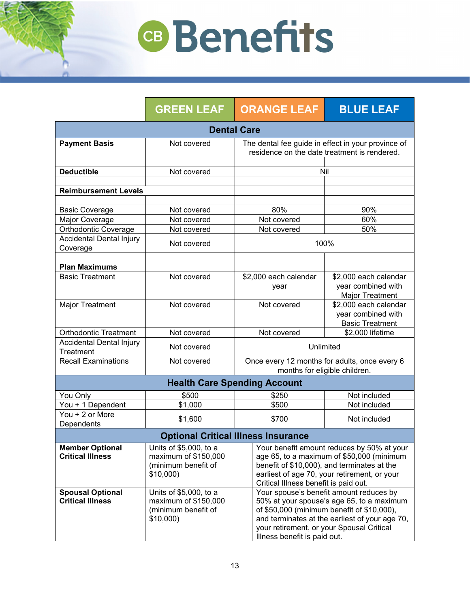|                                                    | <b>GREEN LEAF</b>                                                                 | <b>ORANGE LEAF</b>                                                                                                                                                                                                                                                | <b>BLUE LEAF</b>                                                      |
|----------------------------------------------------|-----------------------------------------------------------------------------------|-------------------------------------------------------------------------------------------------------------------------------------------------------------------------------------------------------------------------------------------------------------------|-----------------------------------------------------------------------|
| <b>Dental Care</b>                                 |                                                                                   |                                                                                                                                                                                                                                                                   |                                                                       |
| <b>Payment Basis</b>                               | Not covered                                                                       | The dental fee guide in effect in your province of<br>residence on the date treatment is rendered.                                                                                                                                                                |                                                                       |
| <b>Deductible</b>                                  | Not covered                                                                       | Nil                                                                                                                                                                                                                                                               |                                                                       |
| <b>Reimbursement Levels</b>                        |                                                                                   |                                                                                                                                                                                                                                                                   |                                                                       |
| <b>Basic Coverage</b><br>Major Coverage            | Not covered<br>Not covered                                                        | 80%<br>Not covered                                                                                                                                                                                                                                                | 90%<br>60%                                                            |
| <b>Orthodontic Coverage</b>                        | Not covered                                                                       | Not covered                                                                                                                                                                                                                                                       | 50%                                                                   |
| <b>Accidental Dental Injury</b><br>Coverage        | Not covered                                                                       | 100%                                                                                                                                                                                                                                                              |                                                                       |
| <b>Plan Maximums</b><br><b>Basic Treatment</b>     | Not covered                                                                       | \$2,000 each calendar<br>year                                                                                                                                                                                                                                     | \$2,000 each calendar<br>year combined with<br><b>Major Treatment</b> |
| <b>Major Treatment</b>                             | Not covered                                                                       | Not covered                                                                                                                                                                                                                                                       | \$2,000 each calendar<br>year combined with<br><b>Basic Treatment</b> |
| <b>Orthodontic Treatment</b>                       | Not covered                                                                       | Not covered                                                                                                                                                                                                                                                       | \$2,000 lifetime                                                      |
| <b>Accidental Dental Injury</b><br>Treatment       | Not covered                                                                       | Unlimited                                                                                                                                                                                                                                                         |                                                                       |
| <b>Recall Examinations</b>                         | Not covered                                                                       | Once every 12 months for adults, once every 6<br>months for eligible children.                                                                                                                                                                                    |                                                                       |
|                                                    |                                                                                   | <b>Health Care Spending Account</b>                                                                                                                                                                                                                               |                                                                       |
| You Only                                           | \$500                                                                             | \$250                                                                                                                                                                                                                                                             | Not included                                                          |
| You + 1 Dependent                                  | \$1,000                                                                           | \$500                                                                                                                                                                                                                                                             | Not included                                                          |
| You + 2 or More<br>Dependents                      | \$1,600                                                                           | \$700                                                                                                                                                                                                                                                             | Not included                                                          |
|                                                    |                                                                                   | <b>Optional Critical Illness Insurance</b>                                                                                                                                                                                                                        |                                                                       |
| <b>Member Optional</b><br><b>Critical Illness</b>  | Units of \$5,000, to a<br>maximum of \$150,000<br>(minimum benefit of<br>\$10,000 | Your benefit amount reduces by 50% at your<br>age 65, to a maximum of \$50,000 (minimum<br>benefit of \$10,000), and terminates at the<br>earliest of age 70, your retirement, or your<br>Critical Illness benefit is paid out.                                   |                                                                       |
| <b>Spousal Optional</b><br><b>Critical Illness</b> | Units of \$5,000, to a<br>maximum of \$150,000<br>(minimum benefit of<br>\$10,000 | Your spouse's benefit amount reduces by<br>50% at your spouse's age 65, to a maximum<br>of \$50,000 (minimum benefit of \$10,000),<br>and terminates at the earliest of your age 70,<br>your retirement, or your Spousal Critical<br>Illness benefit is paid out. |                                                                       |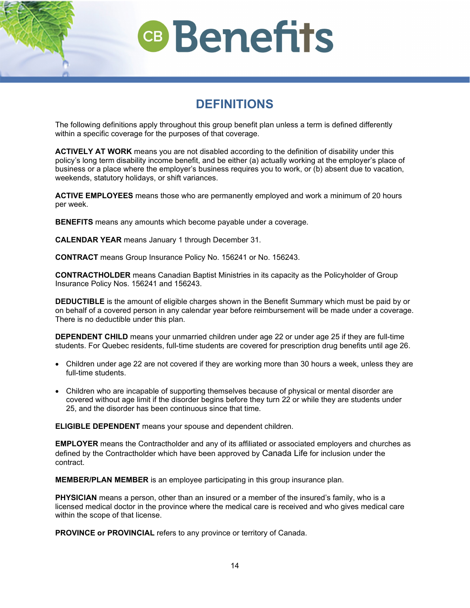## **DEFINITIONS**

<span id="page-12-0"></span>The following definitions apply throughout this group benefit plan unless a term is defined differently within a specific coverage for the purposes of that coverage.

**ACTIVELY AT WORK** means you are not disabled according to the definition of disability under this policy's long term disability income benefit, and be either (a) actually working at the employer's place of business or a place where the employer's business requires you to work, or (b) absent due to vacation, weekends, statutory holidays, or shift variances.

**ACTIVE EMPLOYEES** means those who are permanently employed and work a minimum of 20 hours per week.

**BENEFITS** means any amounts which become payable under a coverage.

**CALENDAR YEAR** means January 1 through December 31.

**CONTRACT** means Group Insurance Policy No. 156241 or No. 156243.

**CONTRACTHOLDER** means Canadian Baptist Ministries in its capacity as the Policyholder of Group Insurance Policy Nos. 156241 and 156243.

**DEDUCTIBLE** is the amount of eligible charges shown in the Benefit Summary which must be paid by or on behalf of a covered person in any calendar year before reimbursement will be made under a coverage. There is no deductible under this plan.

**DEPENDENT CHILD** means your unmarried children under age 22 or under age 25 if they are full-time students. For Quebec residents, full-time students are covered for prescription drug benefits until age 26.

- Children under age 22 are not covered if they are working more than 30 hours a week, unless they are full-time students.
- Children who are incapable of supporting themselves because of physical or mental disorder are covered without age limit if the disorder begins before they turn 22 or while they are students under 25, and the disorder has been continuous since that time.

**ELIGIBLE DEPENDENT** means your spouse and dependent children.

**EMPLOYER** means the Contractholder and any of its affiliated or associated employers and churches as defined by the Contractholder which have been approved by Canada Life for inclusion under the contract.

**MEMBER/PLAN MEMBER** is an employee participating in this group insurance plan.

**PHYSICIAN** means a person, other than an insured or a member of the insured's family, who is a licensed medical doctor in the province where the medical care is received and who gives medical care within the scope of that license.

**PROVINCE or PROVINCIAL** refers to any province or territory of Canada.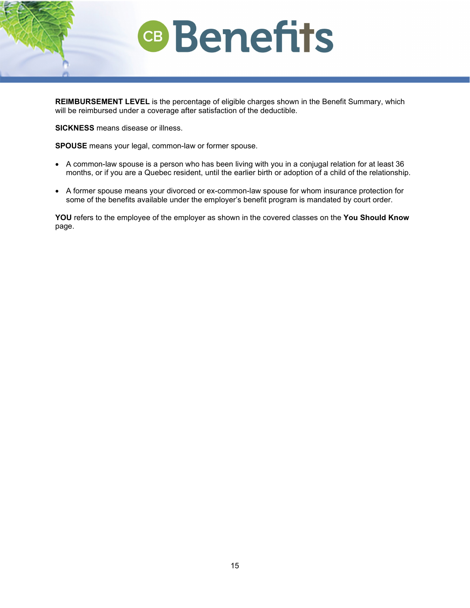**REIMBURSEMENT LEVEL** is the percentage of eligible charges shown in the Benefit Summary, which will be reimbursed under a coverage after satisfaction of the deductible.

**SICKNESS** means disease or illness.

**SPOUSE** means your legal, common-law or former spouse.

- A common-law spouse is a person who has been living with you in a conjugal relation for at least 36 months, or if you are a Quebec resident, until the earlier birth or adoption of a child of the relationship.
- A former spouse means your divorced or ex-common-law spouse for whom insurance protection for some of the benefits available under the employer's benefit program is mandated by court order.

**YOU** refers to the employee of the employer as shown in the covered classes on the **You Should Know** page.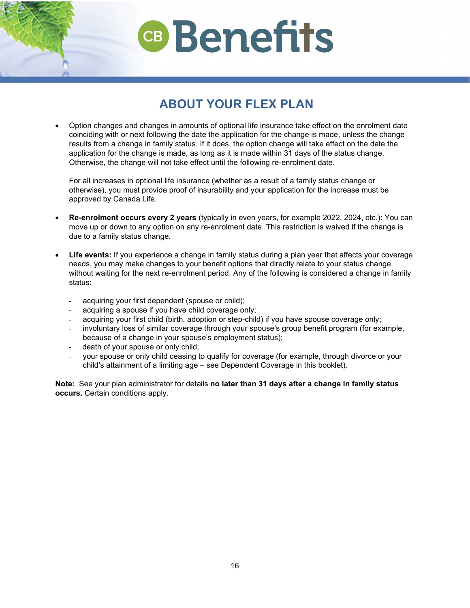## **ABOUT YOUR FLEX PLAN**

<span id="page-14-0"></span>• Option changes and changes in amounts of optional life insurance take effect on the enrolment date coinciding with or next following the date the application for the change is made, unless the change results from a change in family status. If it does, the option change will take effect on the date the application for the change is made, as long as it is made within 31 days of the status change. Otherwise, the change will not take effect until the following re-enrolment date.

For all increases in optional life insurance (whether as a result of a family status change or otherwise), you must provide proof of insurability and your application for the increase must be approved by Canada Life.

- **Re-enrolment occurs every 2 years** (typically in even years, for example 2022, 2024, etc.): You can move up or down to any option on any re-enrolment date. This restriction is waived if the change is due to a family status change.
- **Life events:** If you experience a change in family status during a plan year that affects your coverage needs, you may make changes to your benefit options that directly relate to your status change without waiting for the next re-enrolment period. Any of the following is considered a change in family status:
	- acquiring your first dependent (spouse or child);
	- acquiring a spouse if you have child coverage only;
	- acquiring your first child (birth, adoption or step-child) if you have spouse coverage only;
	- involuntary loss of similar coverage through your spouse's group benefit program (for example, because of a change in your spouse's employment status);
	- death of your spouse or only child;
	- your spouse or only child ceasing to qualify for coverage (for example, through divorce or your child's attainment of a limiting age – see Dependent Coverage in this booklet).

**Note:** See your plan administrator for details **no later than 31 days after a change in family status occurs.** Certain conditions apply.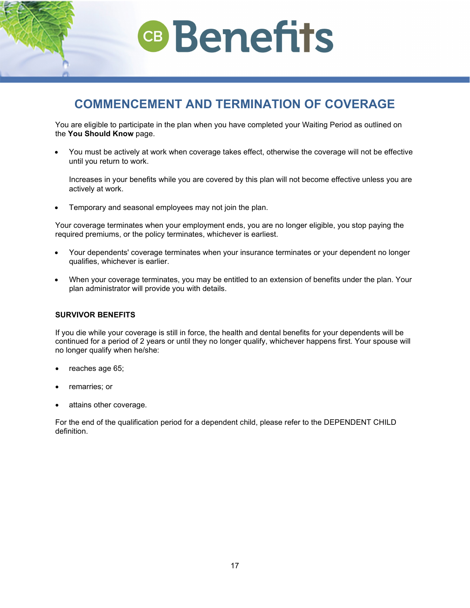<span id="page-15-0"></span>**COMMENCEMENT AND TERMINATION OF COVERAGE**

**CB** Benefits

You are eligible to participate in the plan when you have completed your Waiting Period as outlined on the **You Should Know** page.

• You must be actively at work when coverage takes effect, otherwise the coverage will not be effective until you return to work.

Increases in your benefits while you are covered by this plan will not become effective unless you are actively at work.

• Temporary and seasonal employees may not join the plan.

Your coverage terminates when your employment ends, you are no longer eligible, you stop paying the required premiums, or the policy terminates, whichever is earliest.

- Your dependents' coverage terminates when your insurance terminates or your dependent no longer qualifies, whichever is earlier.
- When your coverage terminates, you may be entitled to an extension of benefits under the plan. Your plan administrator will provide you with details.

#### **SURVIVOR BENEFITS**

If you die while your coverage is still in force, the health and dental benefits for your dependents will be continued for a period of 2 years or until they no longer qualify, whichever happens first. Your spouse will no longer qualify when he/she:

- reaches age 65;
- remarries; or
- attains other coverage.

For the end of the qualification period for a dependent child, please refer to the DEPENDENT CHILD definition.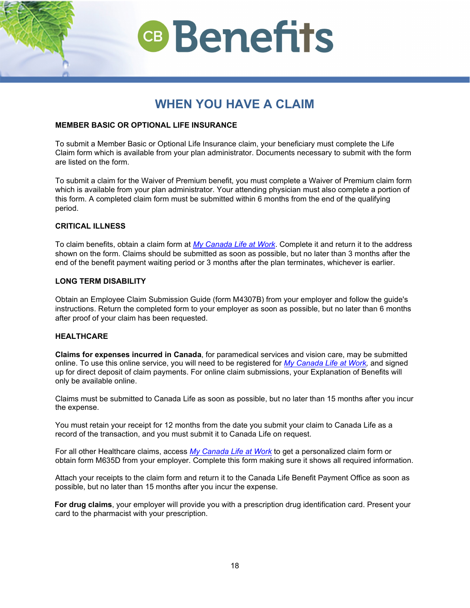## **WHEN YOU HAVE A CLAIM**

## <span id="page-16-0"></span>**MEMBER BASIC OR OPTIONAL LIFE INSURANCE**

To submit a Member Basic or Optional Life Insurance claim, your beneficiary must complete the Life Claim form which is available from your plan administrator. Documents necessary to submit with the form are listed on the form.

To submit a claim for the Waiver of Premium benefit, you must complete a Waiver of Premium claim form which is available from your plan administrator. Your attending physician must also complete a portion of this form. A completed claim form must be submitted within 6 months from the end of the qualifying period.

## **CRITICAL ILLNESS**

To claim benefits, obtain a claim form at *[My Canada Life at Work](https://my.canadalife.com/sign-in)*. Complete it and return it to the address shown on the form. Claims should be submitted as soon as possible, but no later than 3 months after the end of the benefit payment waiting period or 3 months after the plan terminates, whichever is earlier.

## **LONG TERM DISABILITY**

Obtain an Employee Claim Submission Guide (form M4307B) from your employer and follow the guide's instructions. Return the completed form to your employer as soon as possible, but no later than 6 months after proof of your claim has been requested.

### **HEALTHCARE**

**Claims for expenses incurred in Canada**, for paramedical services and vision care, may be submitted online. To use this online service, you will need to be registered for *[My Canada Life at Work,](https://my.canadalife.com/sign-in)* and signed up for direct deposit of claim payments. For online claim submissions, your Explanation of Benefits will only be available online.

Claims must be submitted to Canada Life as soon as possible, but no later than 15 months after you incur the expense.

You must retain your receipt for 12 months from the date you submit your claim to Canada Life as a record of the transaction, and you must submit it to Canada Life on request.

For all other Healthcare claims, access *[My Canada Life at Work](https://my.canadalife.com/sign-in)* to get a personalized claim form or obtain form M635D from your employer. Complete this form making sure it shows all required information.

Attach your receipts to the claim form and return it to the Canada Life Benefit Payment Office as soon as possible, but no later than 15 months after you incur the expense.

**For drug claims**, your employer will provide you with a prescription drug identification card. Present your card to the pharmacist with your prescription.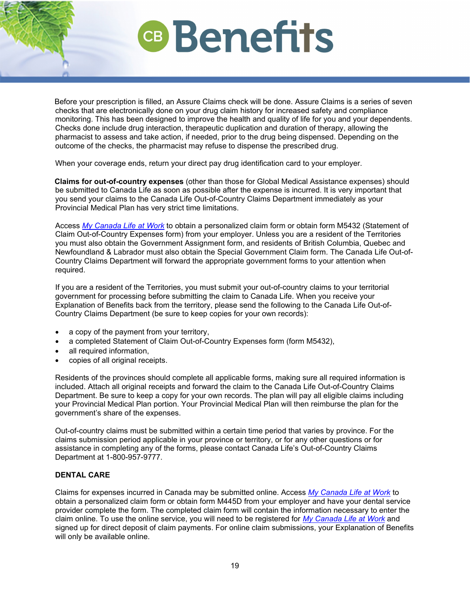Before your prescription is filled, an Assure Claims check will be done. Assure Claims is a series of seven checks that are electronically done on your drug claim history for increased safety and compliance monitoring. This has been designed to improve the health and quality of life for you and your dependents. Checks done include drug interaction, therapeutic duplication and duration of therapy, allowing the pharmacist to assess and take action, if needed, prior to the drug being dispensed. Depending on the outcome of the checks, the pharmacist may refuse to dispense the prescribed drug.

When your coverage ends, return your direct pay drug identification card to your employer.

**Claims for out-of-country expenses** (other than those for Global Medical Assistance expenses) should be submitted to Canada Life as soon as possible after the expense is incurred. It is very important that you send your claims to the Canada Life Out-of-Country Claims Department immediately as your Provincial Medical Plan has very strict time limitations.

Access *[My Canada Life at Work](https://my.canadalife.com/sign-in)* to obtain a personalized claim form or obtain form M5432 (Statement of Claim Out-of-Country Expenses form) from your employer. Unless you are a resident of the Territories you must also obtain the Government Assignment form, and residents of British Columbia, Quebec and Newfoundland & Labrador must also obtain the Special Government Claim form. The Canada Life Out-of-Country Claims Department will forward the appropriate government forms to your attention when required.

If you are a resident of the Territories, you must submit your out-of-country claims to your territorial government for processing before submitting the claim to Canada Life. When you receive your Explanation of Benefits back from the territory, please send the following to the Canada Life Out-of-Country Claims Department (be sure to keep copies for your own records):

- a copy of the payment from your territory,
- a completed Statement of Claim Out-of-Country Expenses form (form M5432),
- all required information,
- copies of all original receipts.

Residents of the provinces should complete all applicable forms, making sure all required information is included. Attach all original receipts and forward the claim to the Canada Life Out-of-Country Claims Department. Be sure to keep a copy for your own records. The plan will pay all eligible claims including your Provincial Medical Plan portion. Your Provincial Medical Plan will then reimburse the plan for the government's share of the expenses.

Out-of-country claims must be submitted within a certain time period that varies by province. For the claims submission period applicable in your province or territory, or for any other questions or for assistance in completing any of the forms, please contact Canada Life's Out-of-Country Claims Department at 1-800-957-9777.

## **DENTAL CARE**

Claims for expenses incurred in Canada may be submitted online. Access *[My Canada Life at Work](https://my.canadalife.com/sign-in)* to obtain a personalized claim form or obtain form M445D from your employer and have your dental service provider complete the form. The completed claim form will contain the information necessary to enter the claim online. To use the online service, you will need to be registered for *[My Canada Life at Work](https://my.canadalife.com/sign-in)* and signed up for direct deposit of claim payments. For online claim submissions, your Explanation of Benefits will only be available online.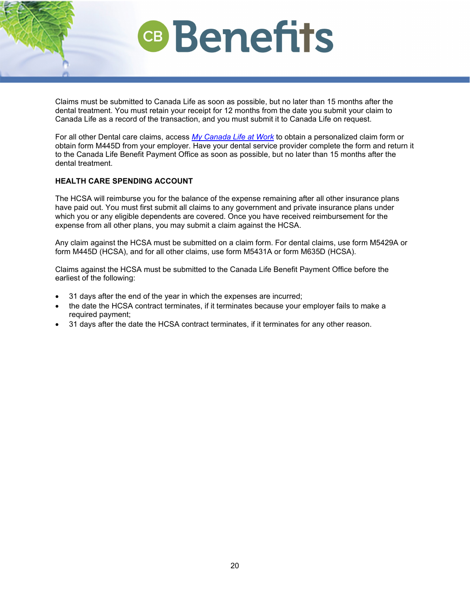Claims must be submitted to Canada Life as soon as possible, but no later than 15 months after the dental treatment. You must retain your receipt for 12 months from the date you submit your claim to Canada Life as a record of the transaction, and you must submit it to Canada Life on request.

For all other Dental care claims, access *[My Canada Life at Work](https://my.canadalife.com/sign-in)* to obtain a personalized claim form or obtain form M445D from your employer. Have your dental service provider complete the form and return it to the Canada Life Benefit Payment Office as soon as possible, but no later than 15 months after the dental treatment.

## **HEALTH CARE SPENDING ACCOUNT**

The HCSA will reimburse you for the balance of the expense remaining after all other insurance plans have paid out. You must first submit all claims to any government and private insurance plans under which you or any eligible dependents are covered. Once you have received reimbursement for the expense from all other plans, you may submit a claim against the HCSA.

Any claim against the HCSA must be submitted on a claim form. For dental claims, use form M5429A or form M445D (HCSA), and for all other claims, use form M5431A or form M635D (HCSA).

Claims against the HCSA must be submitted to the Canada Life Benefit Payment Office before the earliest of the following:

- 31 days after the end of the year in which the expenses are incurred;
- the date the HCSA contract terminates, if it terminates because your employer fails to make a required payment;
- 31 days after the date the HCSA contract terminates, if it terminates for any other reason.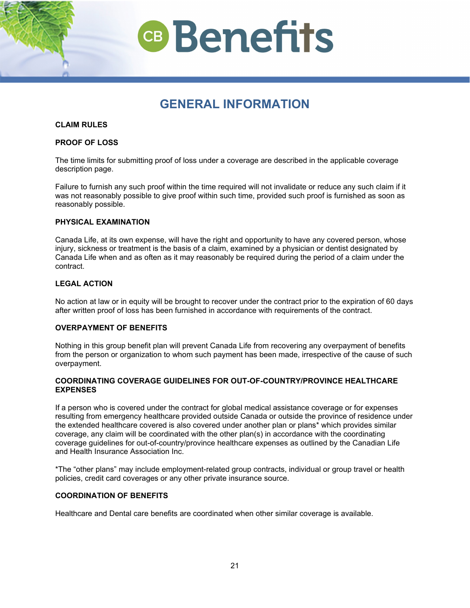

## **GENERAL INFORMATION**

#### <span id="page-19-0"></span>**CLAIM RULES**

#### **PROOF OF LOSS**

The time limits for submitting proof of loss under a coverage are described in the applicable coverage description page.

Failure to furnish any such proof within the time required will not invalidate or reduce any such claim if it was not reasonably possible to give proof within such time, provided such proof is furnished as soon as reasonably possible.

### **PHYSICAL EXAMINATION**

Canada Life, at its own expense, will have the right and opportunity to have any covered person, whose injury, sickness or treatment is the basis of a claim, examined by a physician or dentist designated by Canada Life when and as often as it may reasonably be required during the period of a claim under the contract.

#### **LEGAL ACTION**

No action at law or in equity will be brought to recover under the contract prior to the expiration of 60 days after written proof of loss has been furnished in accordance with requirements of the contract.

### **OVERPAYMENT OF BENEFITS**

Nothing in this group benefit plan will prevent Canada Life from recovering any overpayment of benefits from the person or organization to whom such payment has been made, irrespective of the cause of such overpayment.

### **COORDINATING COVERAGE GUIDELINES FOR OUT-OF-COUNTRY/PROVINCE HEALTHCARE EXPENSES**

If a person who is covered under the contract for global medical assistance coverage or for expenses resulting from emergency healthcare provided outside Canada or outside the province of residence under the extended healthcare covered is also covered under another plan or plans\* which provides similar coverage, any claim will be coordinated with the other plan(s) in accordance with the coordinating coverage guidelines for out-of-country/province healthcare expenses as outlined by the Canadian Life and Health Insurance Association Inc.

\*The "other plans" may include employment-related group contracts, individual or group travel or health policies, credit card coverages or any other private insurance source.

## **COORDINATION OF BENEFITS**

Healthcare and Dental care benefits are coordinated when other similar coverage is available.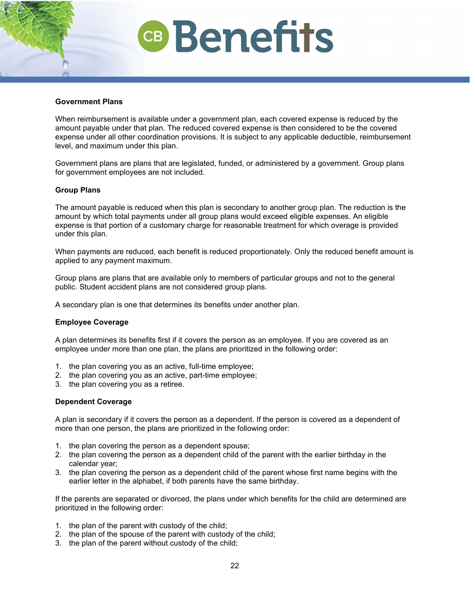### **Government Plans**

When reimbursement is available under a government plan, each covered expense is reduced by the amount payable under that plan. The reduced covered expense is then considered to be the covered expense under all other coordination provisions. It is subject to any applicable deductible, reimbursement level, and maximum under this plan.

Government plans are plans that are legislated, funded, or administered by a government. Group plans for government employees are not included.

## **Group Plans**

The amount payable is reduced when this plan is secondary to another group plan. The reduction is the amount by which total payments under all group plans would exceed eligible expenses. An eligible expense is that portion of a customary charge for reasonable treatment for which overage is provided under this plan.

When payments are reduced, each benefit is reduced proportionately. Only the reduced benefit amount is applied to any payment maximum.

Group plans are plans that are available only to members of particular groups and not to the general public. Student accident plans are not considered group plans.

A secondary plan is one that determines its benefits under another plan.

### **Employee Coverage**

A plan determines its benefits first if it covers the person as an employee. If you are covered as an employee under more than one plan, the plans are prioritized in the following order:

- 1. the plan covering you as an active, full-time employee;
- 2. the plan covering you as an active, part-time employee;
- 3. the plan covering you as a retiree.

### **Dependent Coverage**

A plan is secondary if it covers the person as a dependent. If the person is covered as a dependent of more than one person, the plans are prioritized in the following order:

- 1. the plan covering the person as a dependent spouse;
- 2. the plan covering the person as a dependent child of the parent with the earlier birthday in the calendar year;
- 3. the plan covering the person as a dependent child of the parent whose first name begins with the earlier letter in the alphabet, if both parents have the same birthday.

If the parents are separated or divorced, the plans under which benefits for the child are determined are prioritized in the following order:

- 1. the plan of the parent with custody of the child;
- 2. the plan of the spouse of the parent with custody of the child;
- 3. the plan of the parent without custody of the child;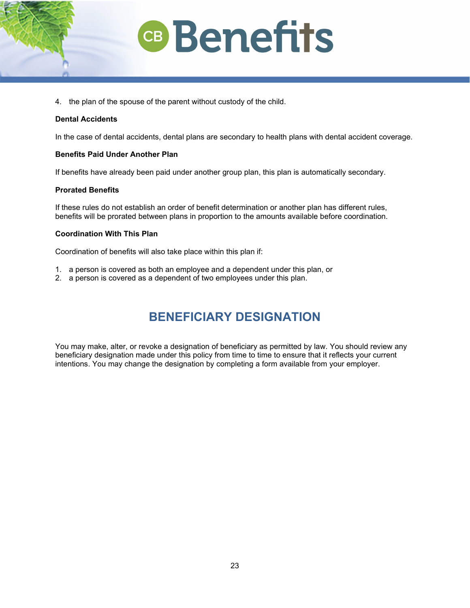

4. the plan of the spouse of the parent without custody of the child.

### **Dental Accidents**

In the case of dental accidents, dental plans are secondary to health plans with dental accident coverage.

#### **Benefits Paid Under Another Plan**

If benefits have already been paid under another group plan, this plan is automatically secondary.

### **Prorated Benefits**

If these rules do not establish an order of benefit determination or another plan has different rules, benefits will be prorated between plans in proportion to the amounts available before coordination.

### **Coordination With This Plan**

Coordination of benefits will also take place within this plan if:

- 1. a person is covered as both an employee and a dependent under this plan, or
- <span id="page-21-0"></span>2. a person is covered as a dependent of two employees under this plan.

## **BENEFICIARY DESIGNATION**

You may make, alter, or revoke a designation of beneficiary as permitted by law. You should review any beneficiary designation made under this policy from time to time to ensure that it reflects your current intentions. You may change the designation by completing a form available from your employer.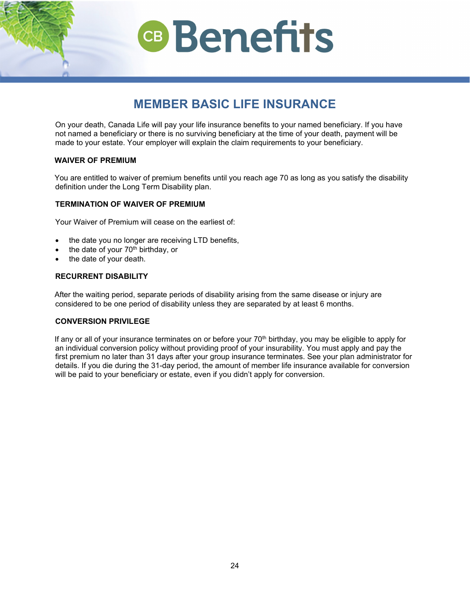## **MEMBER BASIC LIFE INSURANCE**

<span id="page-22-0"></span>On your death, Canada Life will pay your life insurance benefits to your named beneficiary. If you have not named a beneficiary or there is no surviving beneficiary at the time of your death, payment will be made to your estate. Your employer will explain the claim requirements to your beneficiary.

## **WAIVER OF PREMIUM**

You are entitled to waiver of premium benefits until you reach age 70 as long as you satisfy the disability definition under the Long Term Disability plan.

## **TERMINATION OF WAIVER OF PREMIUM**

Your Waiver of Premium will cease on the earliest of:

- the date you no longer are receiving LTD benefits,
- the date of your 70<sup>th</sup> birthday, or
- the date of your death.

## **RECURRENT DISABILITY**

After the waiting period, separate periods of disability arising from the same disease or injury are considered to be one period of disability unless they are separated by at least 6 months.

### **CONVERSION PRIVILEGE**

If any or all of your insurance terminates on or before your  $70<sup>th</sup>$  birthday, you may be eligible to apply for an individual conversion policy without providing proof of your insurability. You must apply and pay the first premium no later than 31 days after your group insurance terminates. See your plan administrator for details. If you die during the 31-day period, the amount of member life insurance available for conversion will be paid to your beneficiary or estate, even if you didn't apply for conversion.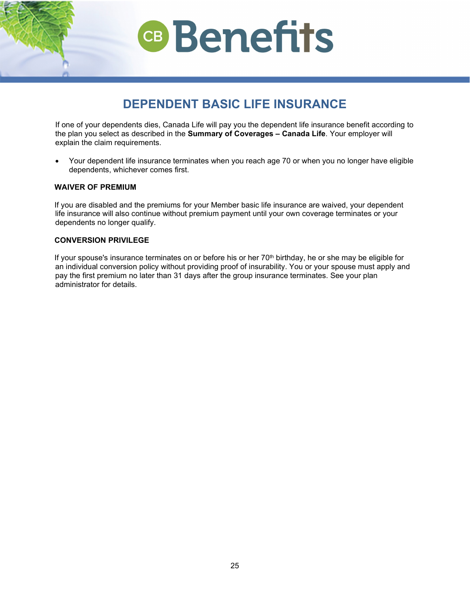## **DEPENDENT BASIC LIFE INSURANCE**

<span id="page-23-0"></span>If one of your dependents dies, Canada Life will pay you the dependent life insurance benefit according to the plan you select as described in the **Summary of Coverages – Canada Life**. Your employer will explain the claim requirements.

• Your dependent life insurance terminates when you reach age 70 or when you no longer have eligible dependents, whichever comes first.

## **WAIVER OF PREMIUM**

If you are disabled and the premiums for your Member basic life insurance are waived, your dependent life insurance will also continue without premium payment until your own coverage terminates or your dependents no longer qualify.

## **CONVERSION PRIVILEGE**

If your spouse's insurance terminates on or before his or her 70<sup>th</sup> birthday, he or she may be eligible for an individual conversion policy without providing proof of insurability. You or your spouse must apply and pay the first premium no later than 31 days after the group insurance terminates. See your plan administrator for details.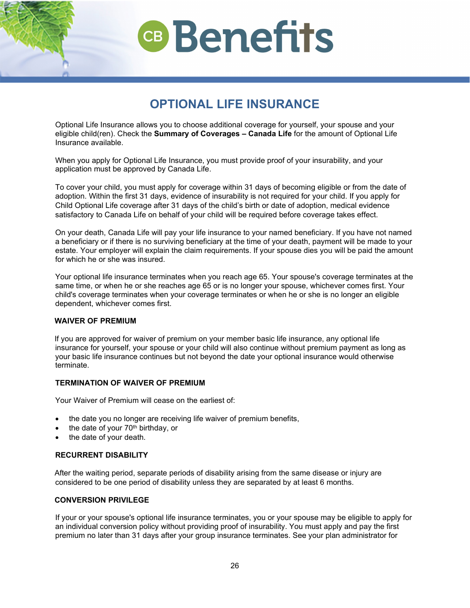## **OPTIONAL LIFE INSURANCE**

<span id="page-24-0"></span>Optional Life Insurance allows you to choose additional coverage for yourself, your spouse and your eligible child(ren). Check the **Summary of Coverages – Canada Life** for the amount of Optional Life Insurance available.

When you apply for Optional Life Insurance, you must provide proof of your insurability, and your application must be approved by Canada Life.

To cover your child, you must apply for coverage within 31 days of becoming eligible or from the date of adoption. Within the first 31 days, evidence of insurability is not required for your child. If you apply for Child Optional Life coverage after 31 days of the child's birth or date of adoption, medical evidence satisfactory to Canada Life on behalf of your child will be required before coverage takes effect.

On your death, Canada Life will pay your life insurance to your named beneficiary. If you have not named a beneficiary or if there is no surviving beneficiary at the time of your death, payment will be made to your estate. Your employer will explain the claim requirements. If your spouse dies you will be paid the amount for which he or she was insured.

Your optional life insurance terminates when you reach age 65. Your spouse's coverage terminates at the same time, or when he or she reaches age 65 or is no longer your spouse, whichever comes first. Your child's coverage terminates when your coverage terminates or when he or she is no longer an eligible dependent, whichever comes first.

### **WAIVER OF PREMIUM**

If you are approved for waiver of premium on your member basic life insurance, any optional life insurance for yourself, your spouse or your child will also continue without premium payment as long as your basic life insurance continues but not beyond the date your optional insurance would otherwise terminate.

### **TERMINATION OF WAIVER OF PREMIUM**

Your Waiver of Premium will cease on the earliest of:

- the date you no longer are receiving life waiver of premium benefits,
- the date of your  $70<sup>th</sup>$  birthday, or
- the date of your death.

### **RECURRENT DISABILITY**

After the waiting period, separate periods of disability arising from the same disease or injury are considered to be one period of disability unless they are separated by at least 6 months.

## **CONVERSION PRIVILEGE**

If your or your spouse's optional life insurance terminates, you or your spouse may be eligible to apply for an individual conversion policy without providing proof of insurability. You must apply and pay the first premium no later than 31 days after your group insurance terminates. See your plan administrator for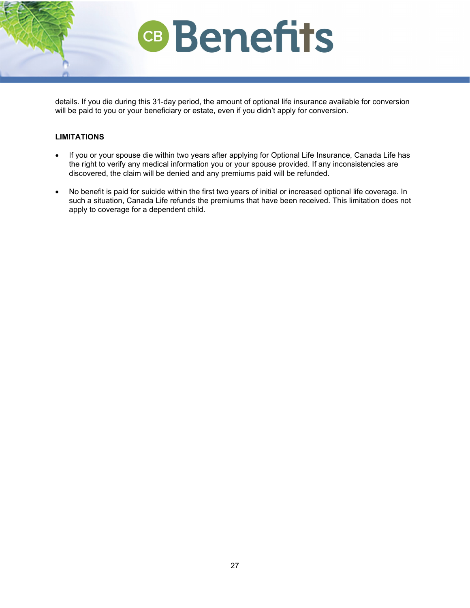

## **LIMITATIONS**

- If you or your spouse die within two years after applying for Optional Life Insurance, Canada Life has the right to verify any medical information you or your spouse provided. If any inconsistencies are discovered, the claim will be denied and any premiums paid will be refunded.
- No benefit is paid for suicide within the first two years of initial or increased optional life coverage. In such a situation, Canada Life refunds the premiums that have been received. This limitation does not apply to coverage for a dependent child.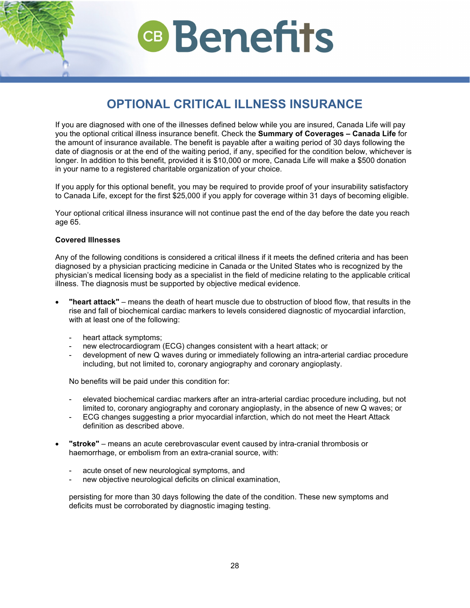## **OPTIONAL CRITICAL ILLNESS INSURANCE**

<span id="page-26-0"></span>If you are diagnosed with one of the illnesses defined below while you are insured, Canada Life will pay you the optional critical illness insurance benefit. Check the **Summary of Coverages – Canada Life** for the amount of insurance available. The benefit is payable after a waiting period of 30 days following the date of diagnosis or at the end of the waiting period, if any, specified for the condition below, whichever is longer. In addition to this benefit, provided it is \$10,000 or more, Canada Life will make a \$500 donation in your name to a registered charitable organization of your choice.

If you apply for this optional benefit, you may be required to provide proof of your insurability satisfactory to Canada Life, except for the first \$25,000 if you apply for coverage within 31 days of becoming eligible.

Your optional critical illness insurance will not continue past the end of the day before the date you reach age 65.

### **Covered Illnesses**

Any of the following conditions is considered a critical illness if it meets the defined criteria and has been diagnosed by a physician practicing medicine in Canada or the United States who is recognized by the physician's medical licensing body as a specialist in the field of medicine relating to the applicable critical illness. The diagnosis must be supported by objective medical evidence.

- **"heart attack"** means the death of heart muscle due to obstruction of blood flow, that results in the rise and fall of biochemical cardiac markers to levels considered diagnostic of myocardial infarction, with at least one of the following:
	- heart attack symptoms;
	- new electrocardiogram (ECG) changes consistent with a heart attack; or
	- development of new Q waves during or immediately following an intra-arterial cardiac procedure including, but not limited to, coronary angiography and coronary angioplasty.

No benefits will be paid under this condition for:

- elevated biochemical cardiac markers after an intra-arterial cardiac procedure including, but not limited to, coronary angiography and coronary angioplasty, in the absence of new Q waves; or
- ECG changes suggesting a prior myocardial infarction, which do not meet the Heart Attack definition as described above.
- **"stroke"** means an acute cerebrovascular event caused by intra-cranial thrombosis or haemorrhage, or embolism from an extra-cranial source, with:
	- acute onset of new neurological symptoms, and
	- new objective neurological deficits on clinical examination,

persisting for more than 30 days following the date of the condition. These new symptoms and deficits must be corroborated by diagnostic imaging testing.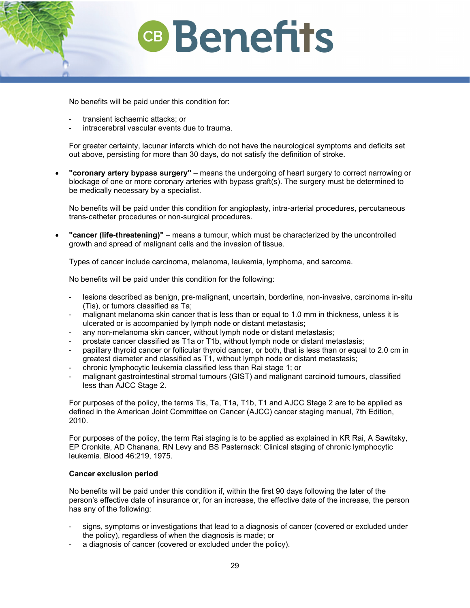No benefits will be paid under this condition for:

- transient ischaemic attacks; or
- intracerebral vascular events due to trauma.

For greater certainty, lacunar infarcts which do not have the neurological symptoms and deficits set out above, persisting for more than 30 days, do not satisfy the definition of stroke.

• **"coronary artery bypass surgery"** – means the undergoing of heart surgery to correct narrowing or blockage of one or more coronary arteries with bypass graft(s). The surgery must be determined to be medically necessary by a specialist.

No benefits will be paid under this condition for angioplasty, intra-arterial procedures, percutaneous trans-catheter procedures or non-surgical procedures.

• **"cancer (life-threatening)"** – means a tumour, which must be characterized by the uncontrolled growth and spread of malignant cells and the invasion of tissue.

Types of cancer include carcinoma, melanoma, leukemia, lymphoma, and sarcoma.

No benefits will be paid under this condition for the following:

- lesions described as benign, pre-malignant, uncertain, borderline, non-invasive, carcinoma in-situ (Tis), or tumors classified as Ta;
- malignant melanoma skin cancer that is less than or equal to 1.0 mm in thickness, unless it is ulcerated or is accompanied by lymph node or distant metastasis;
- any non-melanoma skin cancer, without lymph node or distant metastasis;
- prostate cancer classified as T1a or T1b, without lymph node or distant metastasis;
- papillary thyroid cancer or follicular thyroid cancer, or both, that is less than or equal to 2.0 cm in greatest diameter and classified as T1, without lymph node or distant metastasis;
- chronic lymphocytic leukemia classified less than Rai stage 1; or
- malignant gastrointestinal stromal tumours (GIST) and malignant carcinoid tumours, classified less than AJCC Stage 2.

For purposes of the policy, the terms Tis, Ta, T1a, T1b, T1 and AJCC Stage 2 are to be applied as defined in the American Joint Committee on Cancer (AJCC) cancer staging manual, 7th Edition, 2010.

For purposes of the policy, the term Rai staging is to be applied as explained in KR Rai, A Sawitsky, EP Cronkite, AD Chanana, RN Levy and BS Pasternack: Clinical staging of chronic lymphocytic leukemia. Blood 46:219, 1975.

### **Cancer exclusion period**

No benefits will be paid under this condition if, within the first 90 days following the later of the person's effective date of insurance or, for an increase, the effective date of the increase, the person has any of the following:

- signs, symptoms or investigations that lead to a diagnosis of cancer (covered or excluded under the policy), regardless of when the diagnosis is made; or
- a diagnosis of cancer (covered or excluded under the policy).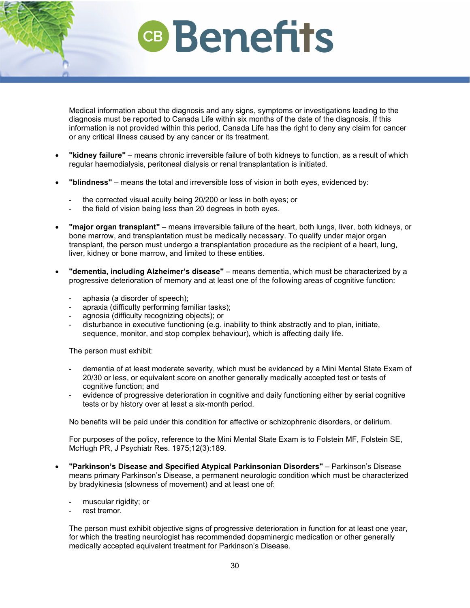Medical information about the diagnosis and any signs, symptoms or investigations leading to the diagnosis must be reported to Canada Life within six months of the date of the diagnosis. If this information is not provided within this period, Canada Life has the right to deny any claim for cancer or any critical illness caused by any cancer or its treatment.

- **"kidney failure"** means chronic irreversible failure of both kidneys to function, as a result of which regular haemodialysis, peritoneal dialysis or renal transplantation is initiated.
- **"blindness"** means the total and irreversible loss of vision in both eyes, evidenced by:
	- the corrected visual acuity being 20/200 or less in both eyes; or
	- the field of vision being less than 20 degrees in both eyes.
- **"major organ transplant"** means irreversible failure of the heart, both lungs, liver, both kidneys, or bone marrow, and transplantation must be medically necessary. To qualify under major organ transplant, the person must undergo a transplantation procedure as the recipient of a heart, lung, liver, kidney or bone marrow, and limited to these entities.
- **"dementia, including Alzheimer's disease"** means dementia, which must be characterized by a progressive deterioration of memory and at least one of the following areas of cognitive function:
	- aphasia (a disorder of speech);
	- apraxia (difficulty performing familiar tasks);
	- agnosia (difficulty recognizing objects); or
	- disturbance in executive functioning (e.g. inability to think abstractly and to plan, initiate, sequence, monitor, and stop complex behaviour), which is affecting daily life.

The person must exhibit:

- dementia of at least moderate severity, which must be evidenced by a Mini Mental State Exam of 20/30 or less, or equivalent score on another generally medically accepted test or tests of cognitive function; and
- evidence of progressive deterioration in cognitive and daily functioning either by serial cognitive tests or by history over at least a six-month period.

No benefits will be paid under this condition for affective or schizophrenic disorders, or delirium.

For purposes of the policy, reference to the Mini Mental State Exam is to Folstein MF, Folstein SE, McHugh PR, J Psychiatr Res. 1975;12(3):189.

- **"Parkinson's Disease and Specified Atypical Parkinsonian Disorders"** Parkinson's Disease means primary Parkinson's Disease, a permanent neurologic condition which must be characterized by bradykinesia (slowness of movement) and at least one of:
	- muscular rigidity; or
	- rest tremor.

The person must exhibit objective signs of progressive deterioration in function for at least one year, for which the treating neurologist has recommended dopaminergic medication or other generally medically accepted equivalent treatment for Parkinson's Disease.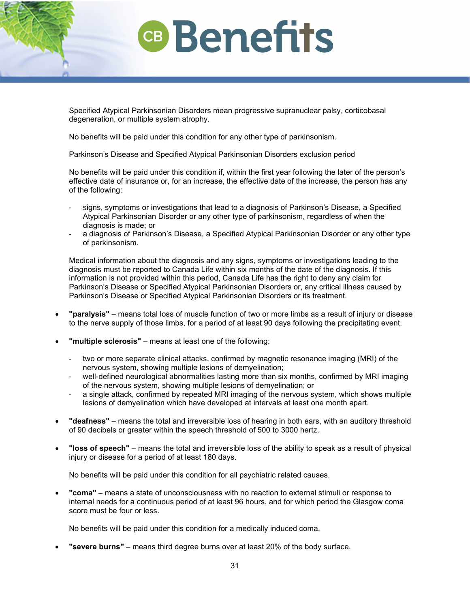Specified Atypical Parkinsonian Disorders mean progressive supranuclear palsy, corticobasal degeneration, or multiple system atrophy.

No benefits will be paid under this condition for any other type of parkinsonism.

Parkinson's Disease and Specified Atypical Parkinsonian Disorders exclusion period

No benefits will be paid under this condition if, within the first year following the later of the person's effective date of insurance or, for an increase, the effective date of the increase, the person has any of the following:

- signs, symptoms or investigations that lead to a diagnosis of Parkinson's Disease, a Specified Atypical Parkinsonian Disorder or any other type of parkinsonism, regardless of when the diagnosis is made; or
- a diagnosis of Parkinson's Disease, a Specified Atypical Parkinsonian Disorder or any other type of parkinsonism.

Medical information about the diagnosis and any signs, symptoms or investigations leading to the diagnosis must be reported to Canada Life within six months of the date of the diagnosis. If this information is not provided within this period, Canada Life has the right to deny any claim for Parkinson's Disease or Specified Atypical Parkinsonian Disorders or, any critical illness caused by Parkinson's Disease or Specified Atypical Parkinsonian Disorders or its treatment.

- **"paralysis"** means total loss of muscle function of two or more limbs as a result of injury or disease to the nerve supply of those limbs, for a period of at least 90 days following the precipitating event.
- **"multiple sclerosis"** means at least one of the following:
	- two or more separate clinical attacks, confirmed by magnetic resonance imaging (MRI) of the nervous system, showing multiple lesions of demyelination;
	- well-defined neurological abnormalities lasting more than six months, confirmed by MRI imaging of the nervous system, showing multiple lesions of demyelination; or
	- a single attack, confirmed by repeated MRI imaging of the nervous system, which shows multiple lesions of demyelination which have developed at intervals at least one month apart.
- **"deafness"** means the total and irreversible loss of hearing in both ears, with an auditory threshold of 90 decibels or greater within the speech threshold of 500 to 3000 hertz.
- **"loss of speech"** means the total and irreversible loss of the ability to speak as a result of physical injury or disease for a period of at least 180 days.

No benefits will be paid under this condition for all psychiatric related causes.

• **"coma"** – means a state of unconsciousness with no reaction to external stimuli or response to internal needs for a continuous period of at least 96 hours, and for which period the Glasgow coma score must be four or less.

No benefits will be paid under this condition for a medically induced coma.

• **"severe burns"** – means third degree burns over at least 20% of the body surface.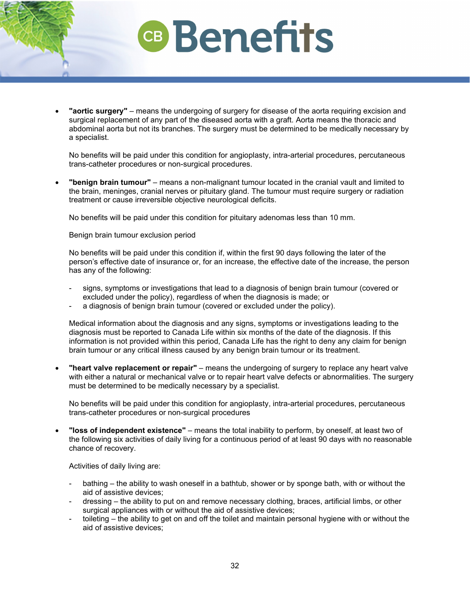## **Benefits**

• **"aortic surgery"** – means the undergoing of surgery for disease of the aorta requiring excision and surgical replacement of any part of the diseased aorta with a graft. Aorta means the thoracic and abdominal aorta but not its branches. The surgery must be determined to be medically necessary by a specialist.

No benefits will be paid under this condition for angioplasty, intra-arterial procedures, percutaneous trans-catheter procedures or non-surgical procedures.

• **"benign brain tumour"** – means a non-malignant tumour located in the cranial vault and limited to the brain, meninges, cranial nerves or pituitary gland. The tumour must require surgery or radiation treatment or cause irreversible objective neurological deficits.

No benefits will be paid under this condition for pituitary adenomas less than 10 mm.

Benign brain tumour exclusion period

No benefits will be paid under this condition if, within the first 90 days following the later of the person's effective date of insurance or, for an increase, the effective date of the increase, the person has any of the following:

- signs, symptoms or investigations that lead to a diagnosis of benign brain tumour (covered or excluded under the policy), regardless of when the diagnosis is made; or
- a diagnosis of benign brain tumour (covered or excluded under the policy).

Medical information about the diagnosis and any signs, symptoms or investigations leading to the diagnosis must be reported to Canada Life within six months of the date of the diagnosis. If this information is not provided within this period, Canada Life has the right to deny any claim for benign brain tumour or any critical illness caused by any benign brain tumour or its treatment.

• **"heart valve replacement or repair"** – means the undergoing of surgery to replace any heart valve with either a natural or mechanical valve or to repair heart valve defects or abnormalities. The surgery must be determined to be medically necessary by a specialist.

No benefits will be paid under this condition for angioplasty, intra-arterial procedures, percutaneous trans-catheter procedures or non-surgical procedures

• **"loss of independent existence"** – means the total inability to perform, by oneself, at least two of the following six activities of daily living for a continuous period of at least 90 days with no reasonable chance of recovery.

Activities of daily living are:

- bathing the ability to wash oneself in a bathtub, shower or by sponge bath, with or without the aid of assistive devices;
- dressing the ability to put on and remove necessary clothing, braces, artificial limbs, or other surgical appliances with or without the aid of assistive devices;
- toileting the ability to get on and off the toilet and maintain personal hygiene with or without the aid of assistive devices;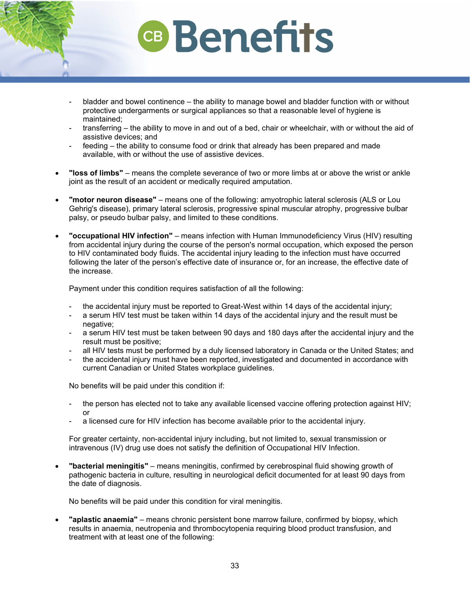- bladder and bowel continence the ability to manage bowel and bladder function with or without protective undergarments or surgical appliances so that a reasonable level of hygiene is maintained;
- transferring the ability to move in and out of a bed, chair or wheelchair, with or without the aid of assistive devices; and
- feeding the ability to consume food or drink that already has been prepared and made available, with or without the use of assistive devices.
- **"loss of limbs"** means the complete severance of two or more limbs at or above the wrist or ankle joint as the result of an accident or medically required amputation.
- **"motor neuron disease"** means one of the following: amyotrophic lateral sclerosis (ALS or Lou Gehrig's disease), primary lateral sclerosis, progressive spinal muscular atrophy, progressive bulbar palsy, or pseudo bulbar palsy, and limited to these conditions.
- **"occupational HIV infection"** means infection with Human Immunodeficiency Virus (HIV) resulting from accidental injury during the course of the person's normal occupation, which exposed the person to HIV contaminated body fluids. The accidental injury leading to the infection must have occurred following the later of the person's effective date of insurance or, for an increase, the effective date of the increase.

Payment under this condition requires satisfaction of all the following:

- the accidental injury must be reported to Great-West within 14 days of the accidental injury;
- a serum HIV test must be taken within 14 days of the accidental injury and the result must be negative;
- a serum HIV test must be taken between 90 days and 180 days after the accidental injury and the result must be positive;
- all HIV tests must be performed by a duly licensed laboratory in Canada or the United States; and
- the accidental injury must have been reported, investigated and documented in accordance with current Canadian or United States workplace guidelines.

No benefits will be paid under this condition if:

- the person has elected not to take any available licensed vaccine offering protection against HIV; or
- a licensed cure for HIV infection has become available prior to the accidental injury.

For greater certainty, non-accidental injury including, but not limited to, sexual transmission or intravenous (IV) drug use does not satisfy the definition of Occupational HIV Infection.

• **"bacterial meningitis"** – means meningitis, confirmed by cerebrospinal fluid showing growth of pathogenic bacteria in culture, resulting in neurological deficit documented for at least 90 days from the date of diagnosis.

No benefits will be paid under this condition for viral meningitis.

• **"aplastic anaemia"** – means chronic persistent bone marrow failure, confirmed by biopsy, which results in anaemia, neutropenia and thrombocytopenia requiring blood product transfusion, and treatment with at least one of the following: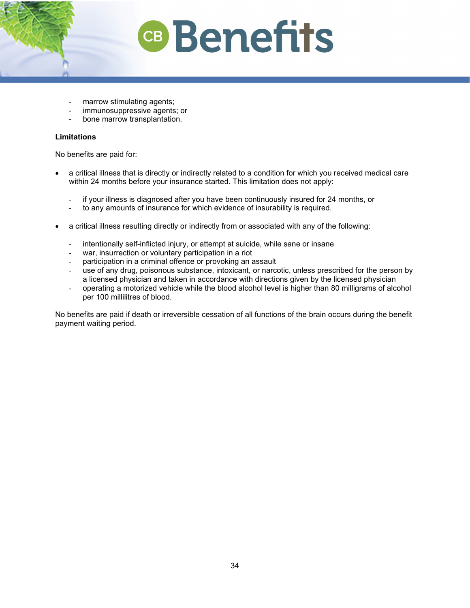- marrow stimulating agents;
- immunosuppressive agents; or
- bone marrow transplantation.

### **Limitations**

No benefits are paid for:

- a critical illness that is directly or indirectly related to a condition for which you received medical care within 24 months before your insurance started. This limitation does not apply:
	- if your illness is diagnosed after you have been continuously insured for 24 months, or
	- to any amounts of insurance for which evidence of insurability is required.
- a critical illness resulting directly or indirectly from or associated with any of the following:
	- intentionally self-inflicted injury, or attempt at suicide, while sane or insane
	- war, insurrection or voluntary participation in a riot
	- participation in a criminal offence or provoking an assault
	- use of any drug, poisonous substance, intoxicant, or narcotic, unless prescribed for the person by a licensed physician and taken in accordance with directions given by the licensed physician
	- operating a motorized vehicle while the blood alcohol level is higher than 80 milligrams of alcohol per 100 millilitres of blood.

No benefits are paid if death or irreversible cessation of all functions of the brain occurs during the benefit payment waiting period.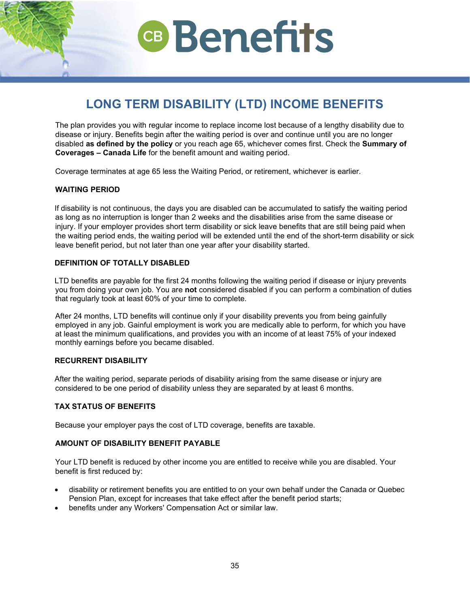## **LONG TERM DISABILITY (LTD) INCOME BENEFITS**

<span id="page-33-0"></span>The plan provides you with regular income to replace income lost because of a lengthy disability due to disease or injury. Benefits begin after the waiting period is over and continue until you are no longer disabled **as defined by the policy** or you reach age 65, whichever comes first. Check the **Summary of Coverages – Canada Life** for the benefit amount and waiting period.

Coverage terminates at age 65 less the Waiting Period, or retirement, whichever is earlier.

## **WAITING PERIOD**

If disability is not continuous, the days you are disabled can be accumulated to satisfy the waiting period as long as no interruption is longer than 2 weeks and the disabilities arise from the same disease or injury. If your employer provides short term disability or sick leave benefits that are still being paid when the waiting period ends, the waiting period will be extended until the end of the short-term disability or sick leave benefit period, but not later than one year after your disability started.

## **DEFINITION OF TOTALLY DISABLED**

LTD benefits are payable for the first 24 months following the waiting period if disease or injury prevents you from doing your own job. You are **not** considered disabled if you can perform a combination of duties that regularly took at least 60% of your time to complete.

After 24 months, LTD benefits will continue only if your disability prevents you from being gainfully employed in any job. Gainful employment is work you are medically able to perform, for which you have at least the minimum qualifications, and provides you with an income of at least 75% of your indexed monthly earnings before you became disabled.

### **RECURRENT DISABILITY**

After the waiting period, separate periods of disability arising from the same disease or injury are considered to be one period of disability unless they are separated by at least 6 months.

### **TAX STATUS OF BENEFITS**

Because your employer pays the cost of LTD coverage, benefits are taxable.

### **AMOUNT OF DISABILITY BENEFIT PAYABLE**

Your LTD benefit is reduced by other income you are entitled to receive while you are disabled. Your benefit is first reduced by:

- disability or retirement benefits you are entitled to on your own behalf under the Canada or Quebec Pension Plan, except for increases that take effect after the benefit period starts;
- benefits under any Workers' Compensation Act or similar law.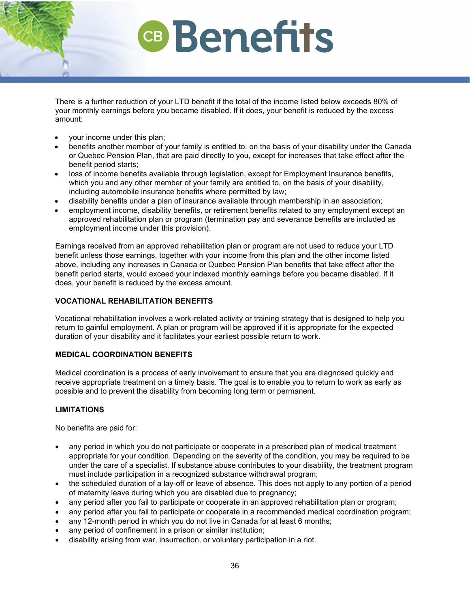There is a further reduction of your LTD benefit if the total of the income listed below exceeds 80% of your monthly earnings before you became disabled. If it does, your benefit is reduced by the excess amount:

- your income under this plan;
- benefits another member of your family is entitled to, on the basis of your disability under the Canada or Quebec Pension Plan, that are paid directly to you, except for increases that take effect after the benefit period starts;
- loss of income benefits available through legislation, except for Employment Insurance benefits, which you and any other member of your family are entitled to, on the basis of your disability, including automobile insurance benefits where permitted by law;
- disability benefits under a plan of insurance available through membership in an association;
- employment income, disability benefits, or retirement benefits related to any employment except an approved rehabilitation plan or program (termination pay and severance benefits are included as employment income under this provision).

Earnings received from an approved rehabilitation plan or program are not used to reduce your LTD benefit unless those earnings, together with your income from this plan and the other income listed above, including any increases in Canada or Quebec Pension Plan benefits that take effect after the benefit period starts, would exceed your indexed monthly earnings before you became disabled. If it does, your benefit is reduced by the excess amount.

## **VOCATIONAL REHABILITATION BENEFITS**

Vocational rehabilitation involves a work-related activity or training strategy that is designed to help you return to gainful employment. A plan or program will be approved if it is appropriate for the expected duration of your disability and it facilitates your earliest possible return to work.

## **MEDICAL COORDINATION BENEFITS**

Medical coordination is a process of early involvement to ensure that you are diagnosed quickly and receive appropriate treatment on a timely basis. The goal is to enable you to return to work as early as possible and to prevent the disability from becoming long term or permanent.

## **LIMITATIONS**

No benefits are paid for:

- any period in which you do not participate or cooperate in a prescribed plan of medical treatment appropriate for your condition. Depending on the severity of the condition, you may be required to be under the care of a specialist. If substance abuse contributes to your disability, the treatment program must include participation in a recognized substance withdrawal program;
- the scheduled duration of a lay-off or leave of absence. This does not apply to any portion of a period of maternity leave during which you are disabled due to pregnancy;
- any period after you fail to participate or cooperate in an approved rehabilitation plan or program;
- any period after you fail to participate or cooperate in a recommended medical coordination program;
- any 12-month period in which you do not live in Canada for at least 6 months;
- any period of confinement in a prison or similar institution;
- disability arising from war, insurrection, or voluntary participation in a riot.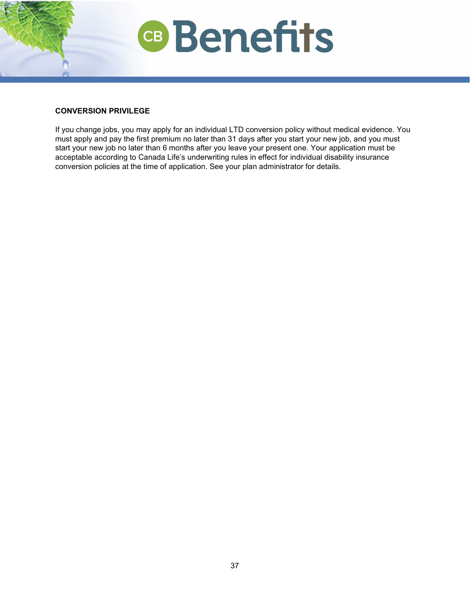

## **CONVERSION PRIVILEGE**

If you change jobs, you may apply for an individual LTD conversion policy without medical evidence. You must apply and pay the first premium no later than 31 days after you start your new job, and you must start your new job no later than 6 months after you leave your present one. Your application must be acceptable according to Canada Life's underwriting rules in effect for individual disability insurance conversion policies at the time of application. See your plan administrator for details.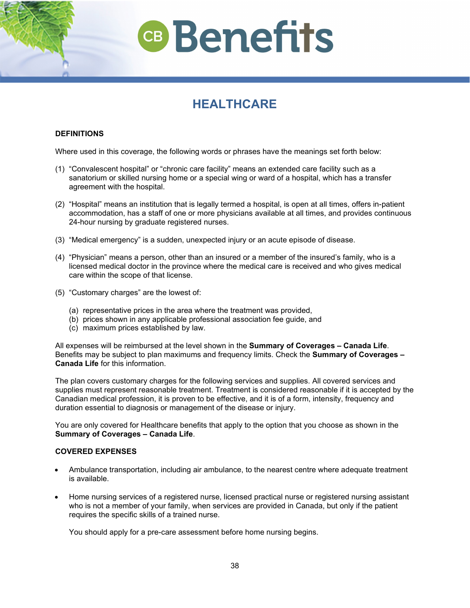## **HEALTHCARE**

## <span id="page-36-0"></span>**DEFINITIONS**

Where used in this coverage, the following words or phrases have the meanings set forth below:

- (1) "Convalescent hospital" or "chronic care facility" means an extended care facility such as a sanatorium or skilled nursing home or a special wing or ward of a hospital, which has a transfer agreement with the hospital.
- (2) "Hospital" means an institution that is legally termed a hospital, is open at all times, offers in-patient accommodation, has a staff of one or more physicians available at all times, and provides continuous 24-hour nursing by graduate registered nurses.
- (3) "Medical emergency" is a sudden, unexpected injury or an acute episode of disease.
- (4) "Physician" means a person, other than an insured or a member of the insured's family, who is a licensed medical doctor in the province where the medical care is received and who gives medical care within the scope of that license.
- (5) "Customary charges" are the lowest of:
	- (a) representative prices in the area where the treatment was provided,
	- (b) prices shown in any applicable professional association fee guide, and
	- (c) maximum prices established by law.

All expenses will be reimbursed at the level shown in the **Summary of Coverages – Canada Life**. Benefits may be subject to plan maximums and frequency limits. Check the **Summary of Coverages – Canada Life** for this information.

The plan covers customary charges for the following services and supplies. All covered services and supplies must represent reasonable treatment. Treatment is considered reasonable if it is accepted by the Canadian medical profession, it is proven to be effective, and it is of a form, intensity, frequency and duration essential to diagnosis or management of the disease or injury.

You are only covered for Healthcare benefits that apply to the option that you choose as shown in the **Summary of Coverages – Canada Life**.

## **COVERED EXPENSES**

- Ambulance transportation, including air ambulance, to the nearest centre where adequate treatment is available.
- Home nursing services of a registered nurse, licensed practical nurse or registered nursing assistant who is not a member of your family, when services are provided in Canada, but only if the patient requires the specific skills of a trained nurse.

You should apply for a pre-care assessment before home nursing begins.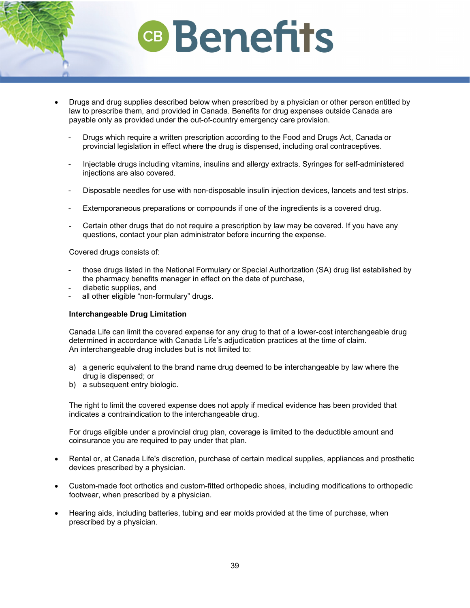- Drugs and drug supplies described below when prescribed by a physician or other person entitled by law to prescribe them, and provided in Canada. Benefits for drug expenses outside Canada are payable only as provided under the out-of-country emergency care provision.
	- Drugs which require a written prescription according to the Food and Drugs Act, Canada or provincial legislation in effect where the drug is dispensed, including oral contraceptives.
	- Injectable drugs including vitamins, insulins and allergy extracts. Syringes for self-administered injections are also covered.
	- Disposable needles for use with non-disposable insulin injection devices, lancets and test strips.
	- Extemporaneous preparations or compounds if one of the ingredients is a covered drug.
	- Certain other drugs that do not require a prescription by law may be covered. If you have any questions, contact your plan administrator before incurring the expense.

Covered drugs consists of:

- those drugs listed in the National Formulary or Special Authorization (SA) drug list established by the pharmacy benefits manager in effect on the date of purchase,
- diabetic supplies, and
- all other eligible "non-formulary" drugs.

### **Interchangeable Drug Limitation**

Canada Life can limit the covered expense for any drug to that of a lower-cost interchangeable drug determined in accordance with Canada Life's adjudication practices at the time of claim. An interchangeable drug includes but is not limited to:

- a) a generic equivalent to the brand name drug deemed to be interchangeable by law where the drug is dispensed; or
- b) a subsequent entry biologic.

The right to limit the covered expense does not apply if medical evidence has been provided that indicates a contraindication to the interchangeable drug.

For drugs eligible under a provincial drug plan, coverage is limited to the deductible amount and coinsurance you are required to pay under that plan.

- Rental or, at Canada Life's discretion, purchase of certain medical supplies, appliances and prosthetic devices prescribed by a physician.
- Custom-made foot orthotics and custom-fitted orthopedic shoes, including modifications to orthopedic footwear, when prescribed by a physician.
- Hearing aids, including batteries, tubing and ear molds provided at the time of purchase, when prescribed by a physician.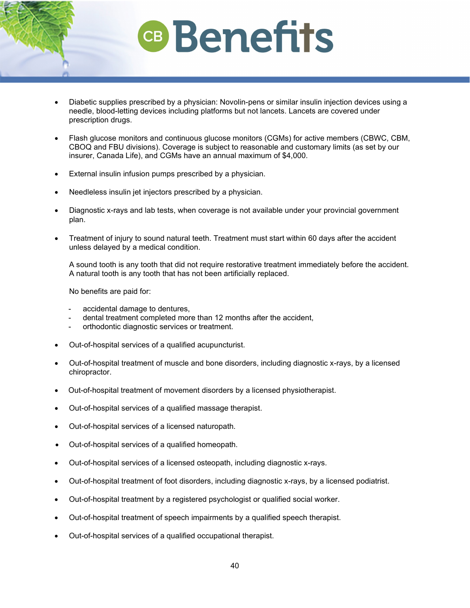- Diabetic supplies prescribed by a physician: Novolin-pens or similar insulin injection devices using a needle, blood-letting devices including platforms but not lancets. Lancets are covered under prescription drugs.
- Flash glucose monitors and continuous glucose monitors (CGMs) for active members (CBWC, CBM, CBOQ and FBU divisions). Coverage is subject to reasonable and customary limits (as set by our insurer, Canada Life), and CGMs have an annual maximum of \$4,000.
- External insulin infusion pumps prescribed by a physician.
- Needleless insulin jet injectors prescribed by a physician.
- Diagnostic x-rays and lab tests, when coverage is not available under your provincial government plan.
- Treatment of injury to sound natural teeth. Treatment must start within 60 days after the accident unless delayed by a medical condition.

A sound tooth is any tooth that did not require restorative treatment immediately before the accident. A natural tooth is any tooth that has not been artificially replaced.

No benefits are paid for:

- accidental damage to dentures,
- dental treatment completed more than 12 months after the accident,
- orthodontic diagnostic services or treatment.
- Out-of-hospital services of a qualified acupuncturist.
- Out-of-hospital treatment of muscle and bone disorders, including diagnostic x-rays, by a licensed chiropractor.
- Out-of-hospital treatment of movement disorders by a licensed physiotherapist.
- Out-of-hospital services of a qualified massage therapist.
- Out-of-hospital services of a licensed naturopath.
- Out-of-hospital services of a qualified homeopath.
- Out-of-hospital services of a licensed osteopath, including diagnostic x-rays.
- Out-of-hospital treatment of foot disorders, including diagnostic x-rays, by a licensed podiatrist.
- Out-of-hospital treatment by a registered psychologist or qualified social worker.
- Out-of-hospital treatment of speech impairments by a qualified speech therapist.
- Out-of-hospital services of a qualified occupational therapist.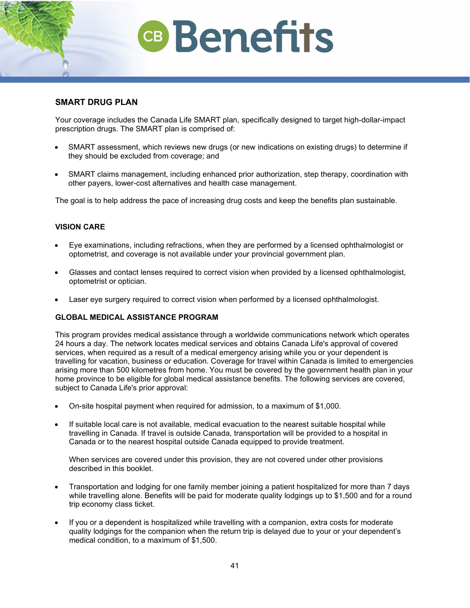## **SMART DRUG PLAN**

Your coverage includes the Canada Life SMART plan, specifically designed to target high-dollar-impact prescription drugs. The SMART plan is comprised of:

- SMART assessment, which reviews new drugs (or new indications on existing drugs) to determine if they should be excluded from coverage; and
- SMART claims management, including enhanced prior authorization, step therapy, coordination with other payers, lower-cost alternatives and health case management.

The goal is to help address the pace of increasing drug costs and keep the benefits plan sustainable.

## **VISION CARE**

- Eye examinations, including refractions, when they are performed by a licensed ophthalmologist or optometrist, and coverage is not available under your provincial government plan.
- Glasses and contact lenses required to correct vision when provided by a licensed ophthalmologist, optometrist or optician.
- Laser eye surgery required to correct vision when performed by a licensed ophthalmologist.

## **GLOBAL MEDICAL ASSISTANCE PROGRAM**

This program provides medical assistance through a worldwide communications network which operates 24 hours a day. The network locates medical services and obtains Canada Life's approval of covered services, when required as a result of a medical emergency arising while you or your dependent is travelling for vacation, business or education. Coverage for travel within Canada is limited to emergencies arising more than 500 kilometres from home. You must be covered by the government health plan in your home province to be eligible for global medical assistance benefits. The following services are covered, subject to Canada Life's prior approval:

- On-site hospital payment when required for admission, to a maximum of \$1,000.
- If suitable local care is not available, medical evacuation to the nearest suitable hospital while travelling in Canada. If travel is outside Canada, transportation will be provided to a hospital in Canada or to the nearest hospital outside Canada equipped to provide treatment.

When services are covered under this provision, they are not covered under other provisions described in this booklet.

- Transportation and lodging for one family member joining a patient hospitalized for more than 7 days while travelling alone. Benefits will be paid for moderate quality lodgings up to \$1,500 and for a round trip economy class ticket.
- If you or a dependent is hospitalized while travelling with a companion, extra costs for moderate quality lodgings for the companion when the return trip is delayed due to your or your dependent's medical condition, to a maximum of \$1,500.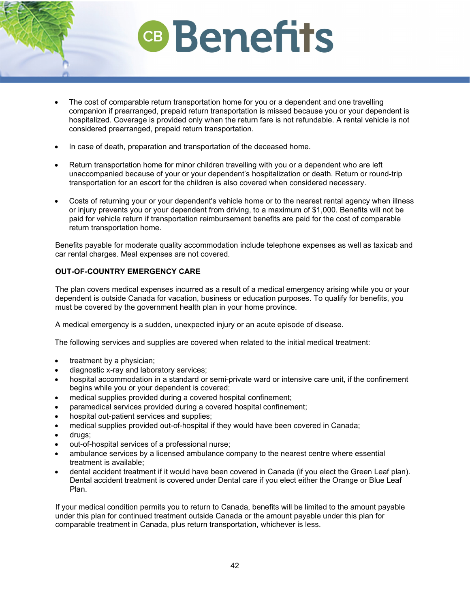- The cost of comparable return transportation home for you or a dependent and one travelling companion if prearranged, prepaid return transportation is missed because you or your dependent is hospitalized. Coverage is provided only when the return fare is not refundable. A rental vehicle is not considered prearranged, prepaid return transportation.
- In case of death, preparation and transportation of the deceased home.
- Return transportation home for minor children travelling with you or a dependent who are left unaccompanied because of your or your dependent's hospitalization or death. Return or round-trip transportation for an escort for the children is also covered when considered necessary.
- Costs of returning your or your dependent's vehicle home or to the nearest rental agency when illness or injury prevents you or your dependent from driving, to a maximum of \$1,000. Benefits will not be paid for vehicle return if transportation reimbursement benefits are paid for the cost of comparable return transportation home.

Benefits payable for moderate quality accommodation include telephone expenses as well as taxicab and car rental charges. Meal expenses are not covered.

## **OUT-OF-COUNTRY EMERGENCY CARE**

The plan covers medical expenses incurred as a result of a medical emergency arising while you or your dependent is outside Canada for vacation, business or education purposes. To qualify for benefits, you must be covered by the government health plan in your home province.

A medical emergency is a sudden, unexpected injury or an acute episode of disease.

The following services and supplies are covered when related to the initial medical treatment:

- treatment by a physician:
- diagnostic x-ray and laboratory services;
- hospital accommodation in a standard or semi-private ward or intensive care unit, if the confinement begins while you or your dependent is covered;
- medical supplies provided during a covered hospital confinement;
- paramedical services provided during a covered hospital confinement;
- hospital out-patient services and supplies;
- medical supplies provided out-of-hospital if they would have been covered in Canada;
- drugs;
- out-of-hospital services of a professional nurse;
- ambulance services by a licensed ambulance company to the nearest centre where essential treatment is available;
- dental accident treatment if it would have been covered in Canada (if you elect the Green Leaf plan). Dental accident treatment is covered under Dental care if you elect either the Orange or Blue Leaf Plan.

If your medical condition permits you to return to Canada, benefits will be limited to the amount payable under this plan for continued treatment outside Canada or the amount payable under this plan for comparable treatment in Canada, plus return transportation, whichever is less.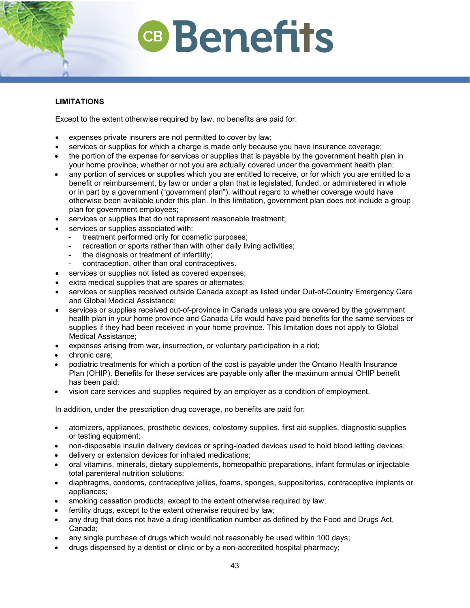## **LIMITATIONS**

Except to the extent otherwise required by law, no benefits are paid for:

- expenses private insurers are not permitted to cover by law;
- services or supplies for which a charge is made only because you have insurance coverage;
- the portion of the expense for services or supplies that is payable by the government health plan in your home province, whether or not you are actually covered under the government health plan;
- any portion of services or supplies which you are entitled to receive, or for which you are entitled to a benefit or reimbursement, by law or under a plan that is legislated, funded, or administered in whole or in part by a government ("government plan"), without regard to whether coverage would have otherwise been available under this plan. In this limitation, government plan does not include a group plan for government employees;
- services or supplies that do not represent reasonable treatment;
- services or supplies associated with:
	- treatment performed only for cosmetic purposes;
	- recreation or sports rather than with other daily living activities;
	- the diagnosis or treatment of infertility:
	- contraception, other than oral contraceptives.
- services or supplies not listed as covered expenses;
- extra medical supplies that are spares or alternates;
- services or supplies received outside Canada except as listed under Out-of-Country Emergency Care and Global Medical Assistance;
- services or supplies received out-of-province in Canada unless you are covered by the government health plan in your home province and Canada Life would have paid benefits for the same services or supplies if they had been received in your home province. This limitation does not apply to Global Medical Assistance;
- expenses arising from war, insurrection, or voluntary participation in a riot;
- chronic care;
- podiatric treatments for which a portion of the cost is payable under the Ontario Health Insurance Plan (OHIP). Benefits for these services are payable only after the maximum annual OHIP benefit has been paid;
- vision care services and supplies required by an employer as a condition of employment.

In addition, under the prescription drug coverage, no benefits are paid for:

- atomizers, appliances, prosthetic devices, colostomy supplies, first aid supplies, diagnostic supplies or testing equipment;
- non-disposable insulin delivery devices or spring-loaded devices used to hold blood letting devices;
- delivery or extension devices for inhaled medications;
- oral vitamins, minerals, dietary supplements, homeopathic preparations, infant formulas or injectable total parenteral nutrition solutions;
- diaphragms, condoms, contraceptive jellies, foams, sponges, suppositories, contraceptive implants or appliances;
- smoking cessation products, except to the extent otherwise required by law;
- fertility drugs, except to the extent otherwise required by law;
- any drug that does not have a drug identification number as defined by the Food and Drugs Act, Canada;
- any single purchase of drugs which would not reasonably be used within 100 days;
- drugs dispensed by a dentist or clinic or by a non-accredited hospital pharmacy;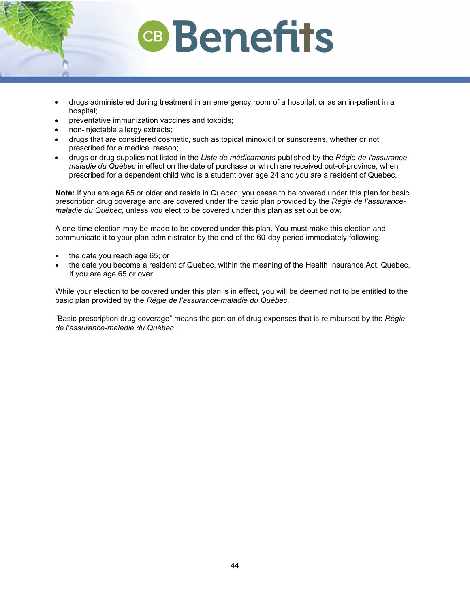- drugs administered during treatment in an emergency room of a hospital, or as an in-patient in a hospital;
- preventative immunization vaccines and toxoids;
- non-injectable allergy extracts;
- drugs that are considered cosmetic, such as topical minoxidil or sunscreens, whether or not prescribed for a medical reason;
- drugs or drug supplies not listed in the *Liste de médicaments* published by the *Régie de l'assurancemaladie du Québec* in effect on the date of purchase or which are received out-of-province, when prescribed for a dependent child who is a student over age 24 and you are a resident of Quebec.

**Note:** If you are age 65 or older and reside in Quebec, you cease to be covered under this plan for basic prescription drug coverage and are covered under the basic plan provided by the *Régie de l'assurancemaladie du Québec,* unless you elect to be covered under this plan as set out below.

A one-time election may be made to be covered under this plan. You must make this election and communicate it to your plan administrator by the end of the 60-day period immediately following:

- the date you reach age 65; or
- the date you become a resident of Quebec, within the meaning of the Health Insurance Act, Quebec, if you are age 65 or over.

While your election to be covered under this plan is in effect, you will be deemed not to be entitled to the basic plan provided by the *Régie de l'assurance-maladie du Québec*.

"Basic prescription drug coverage" means the portion of drug expenses that is reimbursed by the *Régie de l'assurance-maladie du Québec*.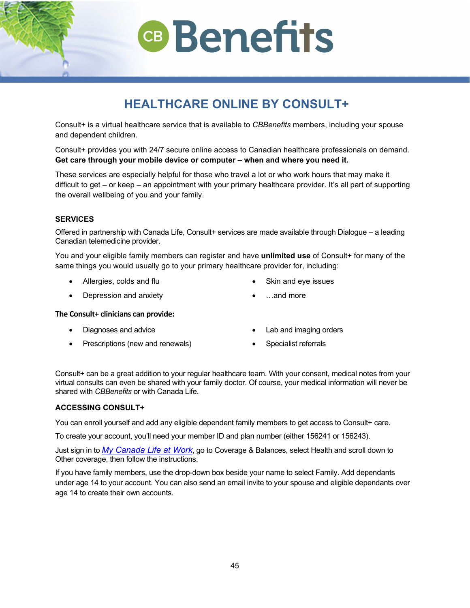## **HEALTHCARE ONLINE BY CONSULT+**

**CB** Benefits

Consult+ is a virtual healthcare service that is available to *CBBenefits* members, including your spouse and dependent children.

Consult+ provides you with 24/7 secure online access to Canadian healthcare professionals on demand. **Get care through your mobile device or computer – when and where you need it.**

These services are especially helpful for those who travel a lot or who work hours that may make it difficult to get – or keep – an appointment with your primary healthcare provider. It's all part of supporting the overall wellbeing of you and your family.

## **SERVICES**

Offered in partnership with Canada Life, Consult+ services are made available through Dialogue – a leading Canadian telemedicine provider.

You and your eligible family members can register and have **unlimited use** of Consult+ for many of the same things you would usually go to your primary healthcare provider for, including:

• Allergies, colds and flu

Skin and eye issues

• …and more

• Depression and anxiety

### **The Consult+ clinicians can provide:**

- Diagnoses and advice
- Prescriptions (new and renewals)
- Lab and imaging orders
- Specialist referrals

Consult+ can be a great addition to your regular healthcare team. With your consent, medical notes from your virtual consults can even be shared with your family doctor. Of course, your medical information will never be shared with *CBBenefits* or with Canada Life.

## **ACCESSING CONSULT+**

You can enroll yourself and add any eligible dependent family members to get access to Consult+ care.

To create your account, you'll need your member ID and plan number (either 156241 or 156243).

Just sign in to *[My Canada Life at Work](https://my.canadalife.com/sign-in)*, go to Coverage & Balances, select Health and scroll down to Other coverage, then follow the instructions.

If you have family members, use the drop-down box beside your name to select Family. Add dependants under age 14 to your account. You can also send an email invite to your spouse and eligible dependants over age 14 to create their own accounts.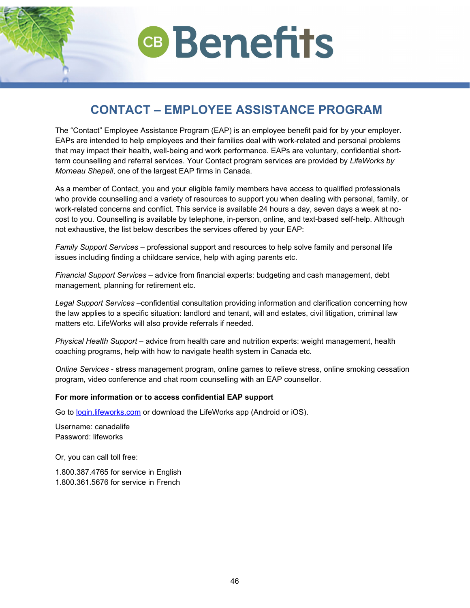

## <span id="page-44-0"></span>**CONTACT – EMPLOYEE ASSISTANCE PROGRAM**

The "Contact" Employee Assistance Program (EAP) is an employee benefit paid for by your employer. EAPs are intended to help employees and their families deal with work-related and personal problems that may impact their health, well-being and work performance. EAPs are voluntary, confidential shortterm counselling and referral services. Your Contact program services are provided by *LifeWorks by Morneau Shepell*, one of the largest EAP firms in Canada.

As a member of Contact, you and your eligible family members have access to qualified professionals who provide counselling and a variety of resources to support you when dealing with personal, family, or work-related concerns and conflict. This service is available 24 hours a day, seven days a week at nocost to you. Counselling is available by telephone, in-person, online, and text-based self-help. Although not exhaustive, the list below describes the services offered by your EAP:

*Family Support Services* – professional support and resources to help solve family and personal life issues including finding a childcare service, help with aging parents etc.

*Financial Support Services* – advice from financial experts: budgeting and cash management, debt management, planning for retirement etc.

*Legal Support Services* –confidential consultation providing information and clarification concerning how the law applies to a specific situation: landlord and tenant, will and estates, civil litigation, criminal law matters etc. LifeWorks will also provide referrals if needed.

*Physical Health Support* – advice from health care and nutrition experts: weight management, health coaching programs, help with how to navigate health system in Canada etc.

*Online Services* - stress management program, online games to relieve stress, online smoking cessation program, video conference and chat room counselling with an EAP counsellor.

### **For more information or to access confidential EAP support**

Go to [login.lifeworks.com](https://login.lifeworks.com/) or download the LifeWorks app (Android or iOS).

Username: canadalife Password: lifeworks

Or, you can call toll free:

1.800.387.4765 for service in English 1.800.361.5676 for service in French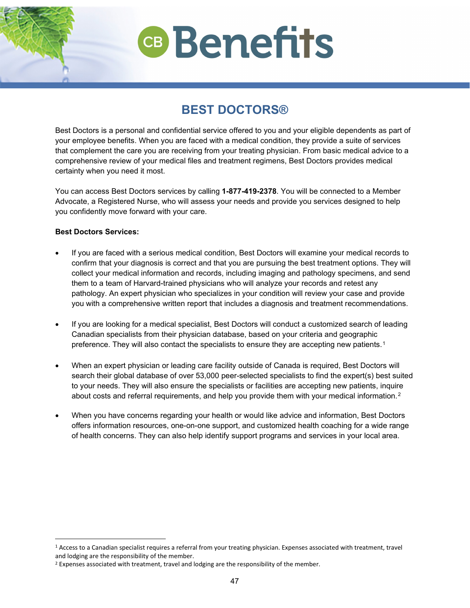## **BEST DOCTORS®**

<span id="page-45-0"></span>Best Doctors is a personal and confidential service offered to you and your eligible dependents as part of your employee benefits. When you are faced with a medical condition, they provide a suite of services that complement the care you are receiving from your treating physician. From basic medical advice to a comprehensive review of your medical files and treatment regimens, Best Doctors provides medical certainty when you need it most.

You can access Best Doctors services by calling **1-877-419-2378**. You will be connected to a Member Advocate, a Registered Nurse, who will assess your needs and provide you services designed to help you confidently move forward with your care.

## **Best Doctors Services:**

- If you are faced with a serious medical condition, Best Doctors will examine your medical records to confirm that your diagnosis is correct and that you are pursuing the best treatment options. They will collect your medical information and records, including imaging and pathology specimens, and send them to a team of Harvard-trained physicians who will analyze your records and retest any pathology. An expert physician who specializes in your condition will review your case and provide you with a comprehensive written report that includes a diagnosis and treatment recommendations.
- If you are looking for a medical specialist, Best Doctors will conduct a customized search of leading Canadian specialists from their physician database, based on your criteria and geographic preference. They will also contact the specialists to ensure they are accepting new patients.<sup>[1](#page-45-1)</sup>
- When an expert physician or leading care facility outside of Canada is required, Best Doctors will search their global database of over 53,000 peer-selected specialists to find the expert(s) best suited to your needs. They will also ensure the specialists or facilities are accepting new patients, inquire about costs and referral requirements, and help you provide them with your medical information.<sup>[2](#page-45-2)</sup>
- When you have concerns regarding your health or would like advice and information, Best Doctors offers information resources, one-on-one support, and customized health coaching for a wide range of health concerns. They can also help identify support programs and services in your local area.

<span id="page-45-1"></span><sup>1</sup> Access to a Canadian specialist requires a referral from your treating physician. Expenses associated with treatment, travel and lodging are the responsibility of the member.

<span id="page-45-2"></span><sup>&</sup>lt;sup>2</sup> Expenses associated with treatment, travel and lodging are the responsibility of the member.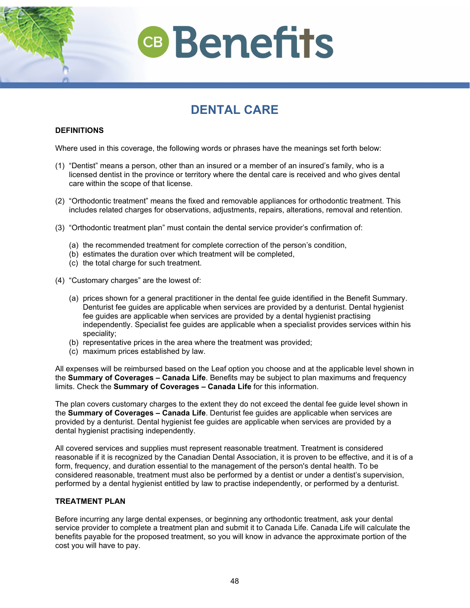

## **DENTAL CARE**

## <span id="page-46-0"></span>**DEFINITIONS**

Where used in this coverage, the following words or phrases have the meanings set forth below:

- (1) "Dentist" means a person, other than an insured or a member of an insured's family, who is a licensed dentist in the province or territory where the dental care is received and who gives dental care within the scope of that license.
- (2) "Orthodontic treatment" means the fixed and removable appliances for orthodontic treatment. This includes related charges for observations, adjustments, repairs, alterations, removal and retention.
- (3) "Orthodontic treatment plan" must contain the dental service provider's confirmation of:
	- (a) the recommended treatment for complete correction of the person's condition,
	- (b) estimates the duration over which treatment will be completed,
	- (c) the total charge for such treatment.
- (4) "Customary charges" are the lowest of:
	- (a) prices shown for a general practitioner in the dental fee guide identified in the Benefit Summary. Denturist fee guides are applicable when services are provided by a denturist. Dental hygienist fee guides are applicable when services are provided by a dental hygienist practising independently. Specialist fee guides are applicable when a specialist provides services within his speciality;
	- (b) representative prices in the area where the treatment was provided;
	- (c) maximum prices established by law.

All expenses will be reimbursed based on the Leaf option you choose and at the applicable level shown in the **Summary of Coverages – Canada Life**. Benefits may be subject to plan maximums and frequency limits. Check the **Summary of Coverages – Canada Life** for this information.

The plan covers customary charges to the extent they do not exceed the dental fee guide level shown in the **Summary of Coverages – Canada Life**. Denturist fee guides are applicable when services are provided by a denturist. Dental hygienist fee guides are applicable when services are provided by a dental hygienist practising independently.

All covered services and supplies must represent reasonable treatment. Treatment is considered reasonable if it is recognized by the Canadian Dental Association, it is proven to be effective, and it is of a form, frequency, and duration essential to the management of the person's dental health. To be considered reasonable, treatment must also be performed by a dentist or under a dentist's supervision, performed by a dental hygienist entitled by law to practise independently, or performed by a denturist.

### **TREATMENT PLAN**

Before incurring any large dental expenses, or beginning any orthodontic treatment, ask your dental service provider to complete a treatment plan and submit it to Canada Life. Canada Life will calculate the benefits payable for the proposed treatment, so you will know in advance the approximate portion of the cost you will have to pay.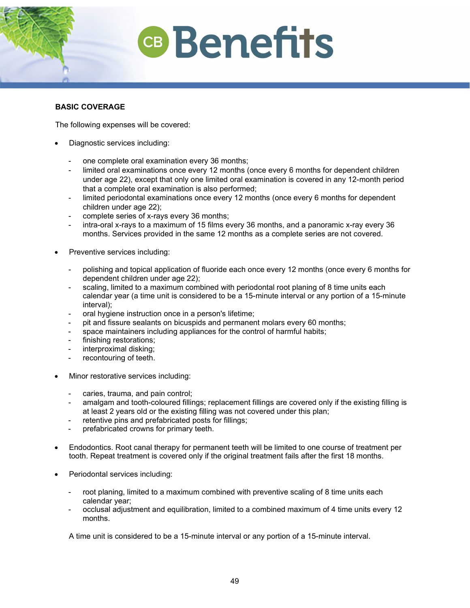## **BASIC COVERAGE**

The following expenses will be covered:

- Diagnostic services including:
	- one complete oral examination every 36 months;
	- limited oral examinations once every 12 months (once every 6 months for dependent children under age 22), except that only one limited oral examination is covered in any 12-month period that a complete oral examination is also performed;
	- limited periodontal examinations once every 12 months (once every 6 months for dependent children under age 22);
	- complete series of x-rays every 36 months;
	- intra-oral x-rays to a maximum of 15 films every 36 months, and a panoramic x-ray every 36 months. Services provided in the same 12 months as a complete series are not covered.
- Preventive services including:
	- polishing and topical application of fluoride each once every 12 months (once every 6 months for dependent children under age 22);
	- scaling, limited to a maximum combined with periodontal root planing of 8 time units each calendar year (a time unit is considered to be a 15-minute interval or any portion of a 15-minute interval);
	- oral hygiene instruction once in a person's lifetime;
	- pit and fissure sealants on bicuspids and permanent molars every 60 months;
	- space maintainers including appliances for the control of harmful habits;
	- finishing restorations;
	- interproximal disking;
	- recontouring of teeth.
- Minor restorative services including:
	- caries, trauma, and pain control;
	- amalgam and tooth-coloured fillings; replacement fillings are covered only if the existing filling is at least 2 years old or the existing filling was not covered under this plan;
	- retentive pins and prefabricated posts for fillings;
	- prefabricated crowns for primary teeth.
- Endodontics. Root canal therapy for permanent teeth will be limited to one course of treatment per tooth. Repeat treatment is covered only if the original treatment fails after the first 18 months.
- Periodontal services including:
	- root planing, limited to a maximum combined with preventive scaling of 8 time units each calendar year;
	- occlusal adjustment and equilibration, limited to a combined maximum of 4 time units every 12 months.

A time unit is considered to be a 15-minute interval or any portion of a 15-minute interval.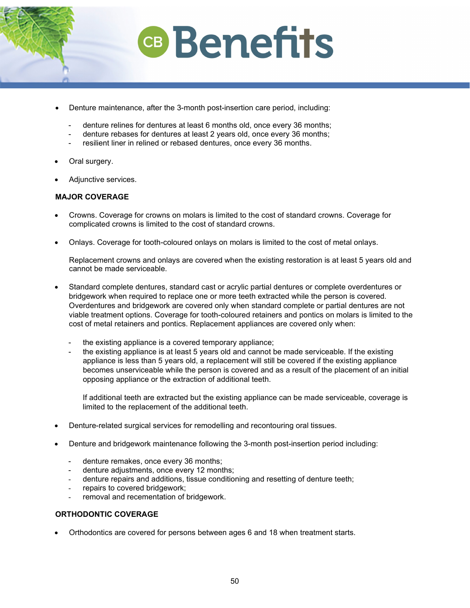

- Denture maintenance, after the 3-month post-insertion care period, including:
	- denture relines for dentures at least 6 months old, once every 36 months;
	- denture rebases for dentures at least 2 years old, once every 36 months;
	- resilient liner in relined or rebased dentures, once every 36 months.
- Oral surgery.
- Adjunctive services.

## **MAJOR COVERAGE**

- Crowns. Coverage for crowns on molars is limited to the cost of standard crowns. Coverage for complicated crowns is limited to the cost of standard crowns.
- Onlays. Coverage for tooth-coloured onlays on molars is limited to the cost of metal onlays.

Replacement crowns and onlays are covered when the existing restoration is at least 5 years old and cannot be made serviceable.

- Standard complete dentures, standard cast or acrylic partial dentures or complete overdentures or bridgework when required to replace one or more teeth extracted while the person is covered. Overdentures and bridgework are covered only when standard complete or partial dentures are not viable treatment options. Coverage for tooth-coloured retainers and pontics on molars is limited to the cost of metal retainers and pontics. Replacement appliances are covered only when:
	- the existing appliance is a covered temporary appliance;
	- the existing appliance is at least 5 years old and cannot be made serviceable. If the existing appliance is less than 5 years old, a replacement will still be covered if the existing appliance becomes unserviceable while the person is covered and as a result of the placement of an initial opposing appliance or the extraction of additional teeth.

If additional teeth are extracted but the existing appliance can be made serviceable, coverage is limited to the replacement of the additional teeth.

- Denture-related surgical services for remodelling and recontouring oral tissues.
- Denture and bridgework maintenance following the 3-month post-insertion period including:
	- denture remakes, once every 36 months;
	- denture adjustments, once every 12 months;
	- denture repairs and additions, tissue conditioning and resetting of denture teeth;
	- repairs to covered bridgework;
	- removal and recementation of bridgework.

## **ORTHODONTIC COVERAGE**

• Orthodontics are covered for persons between ages 6 and 18 when treatment starts.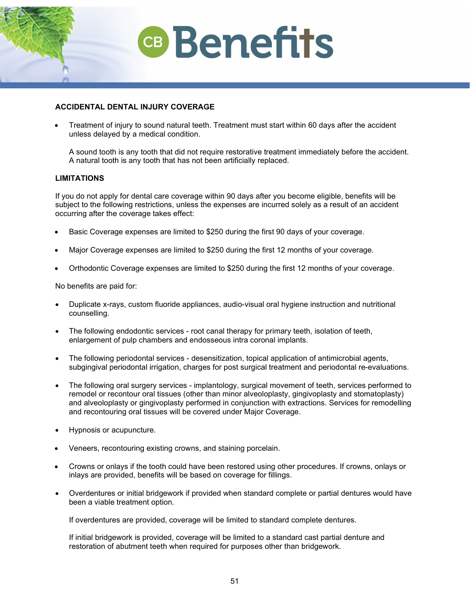

## **ACCIDENTAL DENTAL INJURY COVERAGE**

• Treatment of injury to sound natural teeth. Treatment must start within 60 days after the accident unless delayed by a medical condition.

A sound tooth is any tooth that did not require restorative treatment immediately before the accident. A natural tooth is any tooth that has not been artificially replaced.

### **LIMITATIONS**

If you do not apply for dental care coverage within 90 days after you become eligible, benefits will be subject to the following restrictions, unless the expenses are incurred solely as a result of an accident occurring after the coverage takes effect:

- Basic Coverage expenses are limited to \$250 during the first 90 days of your coverage.
- Major Coverage expenses are limited to \$250 during the first 12 months of your coverage.
- Orthodontic Coverage expenses are limited to \$250 during the first 12 months of your coverage.

No benefits are paid for:

- Duplicate x-rays, custom fluoride appliances, audio-visual oral hygiene instruction and nutritional counselling.
- The following endodontic services root canal therapy for primary teeth, isolation of teeth, enlargement of pulp chambers and endosseous intra coronal implants.
- The following periodontal services desensitization, topical application of antimicrobial agents, subgingival periodontal irrigation, charges for post surgical treatment and periodontal re-evaluations.
- The following oral surgery services implantology, surgical movement of teeth, services performed to remodel or recontour oral tissues (other than minor alveoloplasty, gingivoplasty and stomatoplasty) and alveoloplasty or gingivoplasty performed in conjunction with extractions. Services for remodelling and recontouring oral tissues will be covered under Major Coverage.
- Hypnosis or acupuncture.
- Veneers, recontouring existing crowns, and staining porcelain.
- Crowns or onlays if the tooth could have been restored using other procedures. If crowns, onlays or inlays are provided, benefits will be based on coverage for fillings.
- Overdentures or initial bridgework if provided when standard complete or partial dentures would have been a viable treatment option.

If overdentures are provided, coverage will be limited to standard complete dentures.

If initial bridgework is provided, coverage will be limited to a standard cast partial denture and restoration of abutment teeth when required for purposes other than bridgework.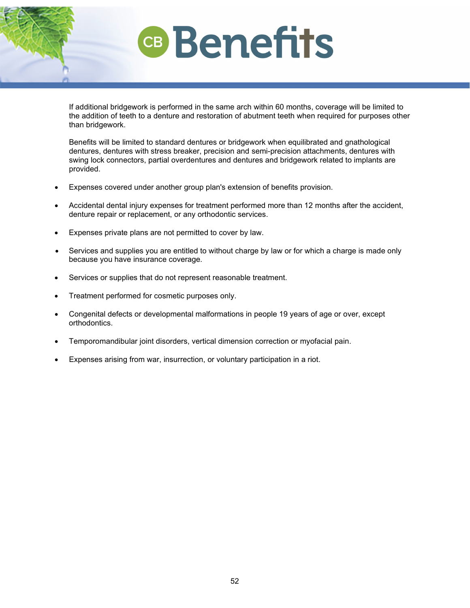If additional bridgework is performed in the same arch within 60 months, coverage will be limited to the addition of teeth to a denture and restoration of abutment teeth when required for purposes other than bridgework.

Benefits will be limited to standard dentures or bridgework when equilibrated and gnathological dentures, dentures with stress breaker, precision and semi-precision attachments, dentures with swing lock connectors, partial overdentures and dentures and bridgework related to implants are provided.

- Expenses covered under another group plan's extension of benefits provision.
- Accidental dental injury expenses for treatment performed more than 12 months after the accident, denture repair or replacement, or any orthodontic services.
- Expenses private plans are not permitted to cover by law.
- Services and supplies you are entitled to without charge by law or for which a charge is made only because you have insurance coverage.
- Services or supplies that do not represent reasonable treatment.
- Treatment performed for cosmetic purposes only.
- Congenital defects or developmental malformations in people 19 years of age or over, except orthodontics.
- Temporomandibular joint disorders, vertical dimension correction or myofacial pain.
- Expenses arising from war, insurrection, or voluntary participation in a riot.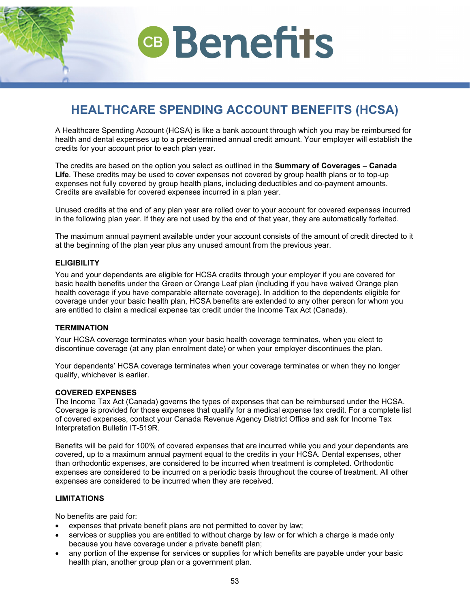## <span id="page-51-0"></span>**HEALTHCARE SPENDING ACCOUNT BENEFITS (HCSA)**

A Healthcare Spending Account (HCSA) is like a bank account through which you may be reimbursed for health and dental expenses up to a predetermined annual credit amount. Your employer will establish the credits for your account prior to each plan year.

The credits are based on the option you select as outlined in the **Summary of Coverages – Canada Life**. These credits may be used to cover expenses not covered by group health plans or to top-up expenses not fully covered by group health plans, including deductibles and co-payment amounts. Credits are available for covered expenses incurred in a plan year.

Unused credits at the end of any plan year are rolled over to your account for covered expenses incurred in the following plan year. If they are not used by the end of that year, they are automatically forfeited.

The maximum annual payment available under your account consists of the amount of credit directed to it at the beginning of the plan year plus any unused amount from the previous year.

### **ELIGIBILITY**

You and your dependents are eligible for HCSA credits through your employer if you are covered for basic health benefits under the Green or Orange Leaf plan (including if you have waived Orange plan health coverage if you have comparable alternate coverage). In addition to the dependents eligible for coverage under your basic health plan, HCSA benefits are extended to any other person for whom you are entitled to claim a medical expense tax credit under the Income Tax Act (Canada).

### **TERMINATION**

Your HCSA coverage terminates when your basic health coverage terminates, when you elect to discontinue coverage (at any plan enrolment date) or when your employer discontinues the plan.

Your dependents' HCSA coverage terminates when your coverage terminates or when they no longer qualify, whichever is earlier.

### **COVERED EXPENSES**

The Income Tax Act (Canada) governs the types of expenses that can be reimbursed under the HCSA. Coverage is provided for those expenses that qualify for a medical expense tax credit. For a complete list of covered expenses, contact your Canada Revenue Agency District Office and ask for Income Tax Interpretation Bulletin IT-519R.

Benefits will be paid for 100% of covered expenses that are incurred while you and your dependents are covered, up to a maximum annual payment equal to the credits in your HCSA. Dental expenses, other than orthodontic expenses, are considered to be incurred when treatment is completed. Orthodontic expenses are considered to be incurred on a periodic basis throughout the course of treatment. All other expenses are considered to be incurred when they are received.

### **LIMITATIONS**

No benefits are paid for:

- expenses that private benefit plans are not permitted to cover by law;
- services or supplies you are entitled to without charge by law or for which a charge is made only because you have coverage under a private benefit plan;
- any portion of the expense for services or supplies for which benefits are payable under your basic health plan, another group plan or a government plan.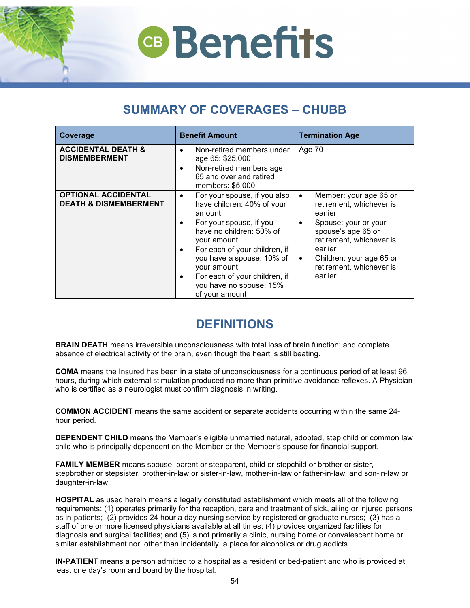## **SUMMARY OF COVERAGES – CHUBB**

<span id="page-52-0"></span>

| Coverage                                                       | <b>Benefit Amount</b>                                                                                                                                                                                                                                                                                                | <b>Termination Age</b>                                                                                                                                                                                                                                       |
|----------------------------------------------------------------|----------------------------------------------------------------------------------------------------------------------------------------------------------------------------------------------------------------------------------------------------------------------------------------------------------------------|--------------------------------------------------------------------------------------------------------------------------------------------------------------------------------------------------------------------------------------------------------------|
| <b>ACCIDENTAL DEATH &amp;</b><br><b>DISMEMBERMENT</b>          | Non-retired members under<br>$\bullet$<br>age 65: \$25,000<br>Non-retired members age<br>٠<br>65 and over and retired<br>members: \$5,000                                                                                                                                                                            | Age 70                                                                                                                                                                                                                                                       |
| <b>OPTIONAL ACCIDENTAL</b><br><b>DEATH &amp; DISMEMBERMENT</b> | For your spouse, if you also<br>٠<br>have children: 40% of your<br>amount<br>For your spouse, if you<br>have no children: 50% of<br>your amount<br>For each of your children, if<br>٠<br>you have a spouse: 10% of<br>your amount<br>For each of your children, if<br>٠<br>you have no spouse: 15%<br>of your amount | Member: your age 65 or<br>$\bullet$<br>retirement, whichever is<br>earlier<br>Spouse: your or your<br>$\bullet$<br>spouse's age 65 or<br>retirement, whichever is<br>earlier<br>Children: your age 65 or<br>$\bullet$<br>retirement, whichever is<br>earlier |

## **DEFINITIONS**

<span id="page-52-1"></span>**BRAIN DEATH** means irreversible unconsciousness with total loss of brain function; and complete absence of electrical activity of the brain, even though the heart is still beating.

**COMA** means the Insured has been in a state of unconsciousness for a continuous period of at least 96 hours, during which external stimulation produced no more than primitive avoidance reflexes. A Physician who is certified as a neurologist must confirm diagnosis in writing.

**COMMON ACCIDENT** means the same accident or separate accidents occurring within the same 24 hour period.

**DEPENDENT CHILD** means the Member's eligible unmarried natural, adopted, step child or common law child who is principally dependent on the Member or the Member's spouse for financial support.

**FAMILY MEMBER** means spouse, parent or stepparent, child or stepchild or brother or sister, stepbrother or stepsister, brother-in-law or sister-in-law, mother-in-law or father-in-law, and son-in-law or daughter-in-law.

**HOSPITAL** as used herein means a legally constituted establishment which meets all of the following requirements: (1) operates primarily for the reception, care and treatment of sick, ailing or injured persons as in-patients; (2) provides 24 hour a day nursing service by registered or graduate nurses; (3) has a staff of one or more licensed physicians available at all times; (4) provides organized facilities for diagnosis and surgical facilities; and (5) is not primarily a clinic, nursing home or convalescent home or similar establishment nor, other than incidentally, a place for alcoholics or drug addicts.

**IN-PATIENT** means a person admitted to a hospital as a resident or bed-patient and who is provided at least one day's room and board by the hospital.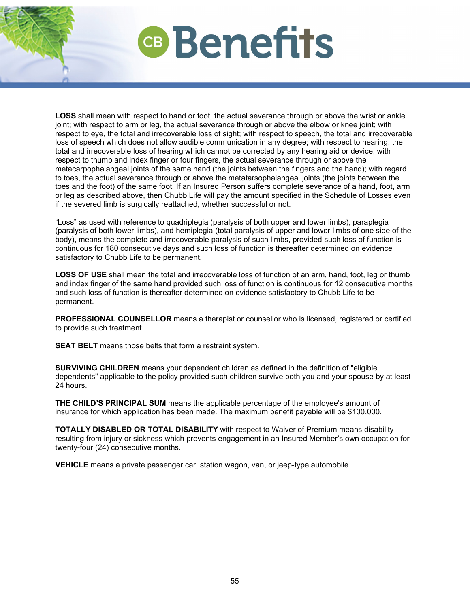**LOSS** shall mean with respect to hand or foot, the actual severance through or above the wrist or ankle joint; with respect to arm or leg, the actual severance through or above the elbow or knee joint; with respect to eye, the total and irrecoverable loss of sight; with respect to speech, the total and irrecoverable loss of speech which does not allow audible communication in any degree; with respect to hearing, the total and irrecoverable loss of hearing which cannot be corrected by any hearing aid or device; with respect to thumb and index finger or four fingers, the actual severance through or above the metacarpophalangeal joints of the same hand (the joints between the fingers and the hand); with regard to toes, the actual severance through or above the metatarsophalangeal joints (the joints between the toes and the foot) of the same foot. If an Insured Person suffers complete severance of a hand, foot, arm or leg as described above, then Chubb Life will pay the amount specified in the Schedule of Losses even if the severed limb is surgically reattached, whether successful or not.

"Loss" as used with reference to quadriplegia (paralysis of both upper and lower limbs), paraplegia (paralysis of both lower limbs), and hemiplegia (total paralysis of upper and lower limbs of one side of the body), means the complete and irrecoverable paralysis of such limbs, provided such loss of function is continuous for 180 consecutive days and such loss of function is thereafter determined on evidence satisfactory to Chubb Life to be permanent.

**LOSS OF USE** shall mean the total and irrecoverable loss of function of an arm, hand, foot, leg or thumb and index finger of the same hand provided such loss of function is continuous for 12 consecutive months and such loss of function is thereafter determined on evidence satisfactory to Chubb Life to be permanent.

**PROFESSIONAL COUNSELLOR** means a therapist or counsellor who is licensed, registered or certified to provide such treatment.

**SEAT BELT** means those belts that form a restraint system.

**SURVIVING CHILDREN** means your dependent children as defined in the definition of "eligible dependents" applicable to the policy provided such children survive both you and your spouse by at least 24 hours.

**THE CHILD'S PRINCIPAL SUM** means the applicable percentage of the employee's amount of insurance for which application has been made. The maximum benefit payable will be \$100,000.

**TOTALLY DISABLED OR TOTAL DISABILITY** with respect to Waiver of Premium means disability resulting from injury or sickness which prevents engagement in an Insured Member's own occupation for twenty-four (24) consecutive months.

**VEHICLE** means a private passenger car, station wagon, van, or jeep-type automobile.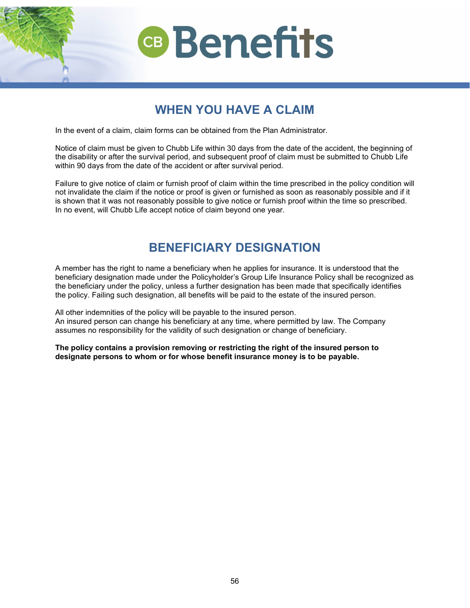

## **WHEN YOU HAVE A CLAIM**

<span id="page-54-0"></span>In the event of a claim, claim forms can be obtained from the Plan Administrator.

Notice of claim must be given to Chubb Life within 30 days from the date of the accident, the beginning of the disability or after the survival period, and subsequent proof of claim must be submitted to Chubb Life within 90 days from the date of the accident or after survival period.

<span id="page-54-1"></span>Failure to give notice of claim or furnish proof of claim within the time prescribed in the policy condition will not invalidate the claim if the notice or proof is given or furnished as soon as reasonably possible and if it is shown that it was not reasonably possible to give notice or furnish proof within the time so prescribed. In no event, will Chubb Life accept notice of claim beyond one year.

## **BENEFICIARY DESIGNATION**

A member has the right to name a beneficiary when he applies for insurance. It is understood that the beneficiary designation made under the Policyholder's Group Life Insurance Policy shall be recognized as the beneficiary under the policy, unless a further designation has been made that specifically identifies the policy. Failing such designation, all benefits will be paid to the estate of the insured person.

All other indemnities of the policy will be payable to the insured person. An insured person can change his beneficiary at any time, where permitted by law. The Company assumes no responsibility for the validity of such designation or change of beneficiary.

**The policy contains a provision removing or restricting the right of the insured person to designate persons to whom or for whose benefit insurance money is to be payable.**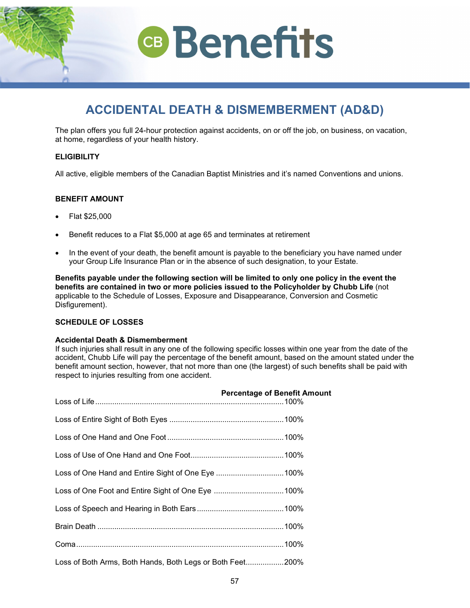## **ACCIDENTAL DEATH & DISMEMBERMENT (AD&D)**

<span id="page-55-0"></span>The plan offers you full 24-hour protection against accidents, on or off the job, on business, on vacation, at home, regardless of your health history.

## **ELIGIBILITY**

All active, eligible members of the Canadian Baptist Ministries and it's named Conventions and unions.

## **BENEFIT AMOUNT**

- Flat \$25,000
- Benefit reduces to a Flat \$5,000 at age 65 and terminates at retirement
- In the event of your death, the benefit amount is payable to the beneficiary you have named under your Group Life Insurance Plan or in the absence of such designation, to your Estate.

**Benefits payable under the following section will be limited to only one policy in the event the benefits are contained in two or more policies issued to the Policyholder by Chubb Life** (not applicable to the Schedule of Losses, Exposure and Disappearance, Conversion and Cosmetic Disfigurement).

## **SCHEDULE OF LOSSES**

## **Accidental Death & Dismemberment**

If such injuries shall result in any one of the following specific losses within one year from the date of the accident, Chubb Life will pay the percentage of the benefit amount, based on the amount stated under the benefit amount section, however, that not more than one (the largest) of such benefits shall be paid with respect to injuries resulting from one accident.

|                                                           | <b>Percentage of Benefit Amount</b> |
|-----------------------------------------------------------|-------------------------------------|
|                                                           |                                     |
|                                                           |                                     |
|                                                           |                                     |
|                                                           |                                     |
| Loss of One Foot and Entire Sight of One Eye 100%         |                                     |
|                                                           |                                     |
|                                                           |                                     |
|                                                           |                                     |
| Loss of Both Arms, Both Hands, Both Legs or Both Feet200% |                                     |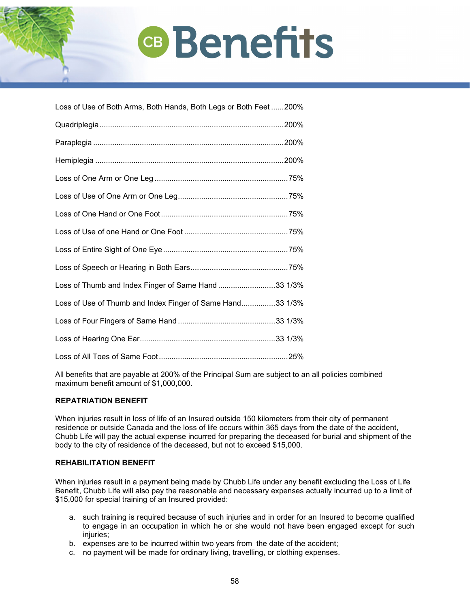| Loss of Use of Both Arms, Both Hands, Both Legs or Both Feet200% |  |
|------------------------------------------------------------------|--|
|                                                                  |  |
|                                                                  |  |
|                                                                  |  |
|                                                                  |  |
|                                                                  |  |
|                                                                  |  |
|                                                                  |  |
|                                                                  |  |
|                                                                  |  |
| Loss of Thumb and Index Finger of Same Hand 33 1/3%              |  |
| Loss of Use of Thumb and Index Finger of Same Hand33 1/3%        |  |
|                                                                  |  |
|                                                                  |  |
|                                                                  |  |

All benefits that are payable at 200% of the Principal Sum are subject to an all policies combined maximum benefit amount of \$1,000,000.

## **REPATRIATION BENEFIT**

When injuries result in loss of life of an Insured outside 150 kilometers from their city of permanent residence or outside Canada and the loss of life occurs within 365 days from the date of the accident, Chubb Life will pay the actual expense incurred for preparing the deceased for burial and shipment of the body to the city of residence of the deceased, but not to exceed \$15,000.

## **REHABILITATION BENEFIT**

When injuries result in a payment being made by Chubb Life under any benefit excluding the Loss of Life Benefit, Chubb Life will also pay the reasonable and necessary expenses actually incurred up to a limit of \$15,000 for special training of an Insured provided:

- a. such training is required because of such injuries and in order for an Insured to become qualified to engage in an occupation in which he or she would not have been engaged except for such injuries;
- b. expenses are to be incurred within two years from the date of the accident;
- c. no payment will be made for ordinary living, travelling, or clothing expenses.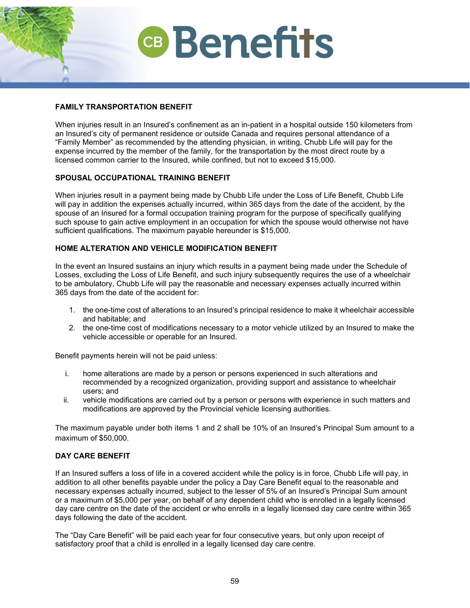## **FAMILY TRANSPORTATION BENEFIT**

When injuries result in an Insured's confinement as an in-patient in a hospital outside 150 kilometers from an Insured's city of permanent residence or outside Canada and requires personal attendance of a "Family Member" as recommended by the attending physician, in writing, Chubb Life will pay for the expense incurred by the member of the family, for the transportation by the most direct route by a licensed common carrier to the Insured, while confined, but not to exceed \$15,000.

## **SPOUSAL OCCUPATIONAL TRAINING BENEFIT**

When injuries result in a payment being made by Chubb Life under the Loss of Life Benefit, Chubb Life will pay in addition the expenses actually incurred, within 365 days from the date of the accident, by the spouse of an Insured for a formal occupation training program for the purpose of specifically qualifying such spouse to gain active employment in an occupation for which the spouse would otherwise not have sufficient qualifications. The maximum payable hereunder is \$15,000.

## **HOME ALTERATION AND VEHICLE MODIFICATION BENEFIT**

In the event an Insured sustains an injury which results in a payment being made under the Schedule of Losses, excluding the Loss of Life Benefit, and such injury subsequently requires the use of a wheelchair to be ambulatory, Chubb Life will pay the reasonable and necessary expenses actually incurred within 365 days from the date of the accident for:

- 1. the one-time cost of alterations to an Insured's principal residence to make it wheelchair accessible and habitable; and
- 2. the one-time cost of modifications necessary to a motor vehicle utilized by an Insured to make the vehicle accessible or operable for an Insured.

Benefit payments herein will not be paid unless:

- i. home alterations are made by a person or persons experienced in such alterations and recommended by a recognized organization, providing support and assistance to wheelchair users; and
- ii. vehicle modifications are carried out by a person or persons with experience in such matters and modifications are approved by the Provincial vehicle licensing authorities.

The maximum payable under both items 1 and 2 shall be 10% of an Insured's Principal Sum amount to a maximum of \$50,000.

## **DAY CARE BENEFIT**

If an Insured suffers a loss of life in a covered accident while the policy is in force, Chubb Life will pay, in addition to all other benefits payable under the policy a Day Care Benefit equal to the reasonable and necessary expenses actually incurred, subject to the lesser of 5% of an Insured's Principal Sum amount or a maximum of \$5,000 per year, on behalf of any dependent child who is enrolled in a legally licensed day care centre on the date of the accident or who enrolls in a legally licensed day care centre within 365 days following the date of the accident.

The "Day Care Benefit" will be paid each year for four consecutive years, but only upon receipt of satisfactory proof that a child is enrolled in a legally licensed day care centre.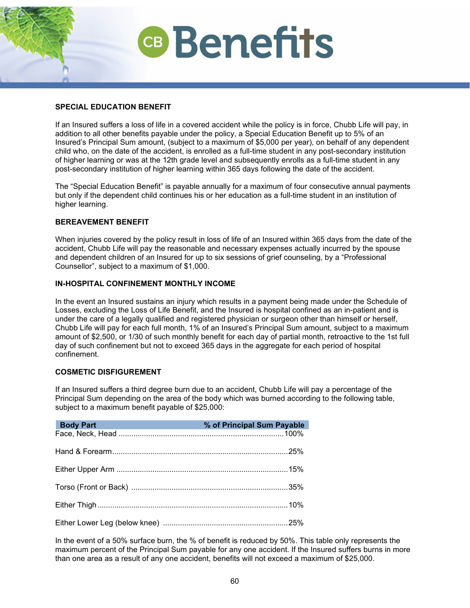

## **SPECIAL EDUCATION BENEFIT**

If an Insured suffers a loss of life in a covered accident while the policy is in force, Chubb Life will pay, in addition to all other benefits payable under the policy, a Special Education Benefit up to 5% of an Insured's Principal Sum amount, (subject to a maximum of \$5,000 per year), on behalf of any dependent child who, on the date of the accident, is enrolled as a full-time student in any post-secondary institution of higher learning or was at the 12th grade level and subsequently enrolls as a full-time student in any post-secondary institution of higher learning within 365 days following the date of the accident.

The "Special Education Benefit" is payable annually for a maximum of four consecutive annual payments but only if the dependent child continues his or her education as a full-time student in an institution of higher learning.

## **BEREAVEMENT BENEFIT**

When injuries covered by the policy result in loss of life of an Insured within 365 days from the date of the accident, Chubb Life will pay the reasonable and necessary expenses actually incurred by the spouse and dependent children of an Insured for up to six sessions of grief counseling, by a "Professional Counsellor", subject to a maximum of \$1,000.

## **IN-HOSPITAL CONFINEMENT MONTHLY INCOME**

In the event an Insured sustains an injury which results in a payment being made under the Schedule of Losses, excluding the Loss of Life Benefit, and the Insured is hospital confined as an in-patient and is under the care of a legally qualified and registered physician or surgeon other than himself or herself, Chubb Life will pay for each full month, 1% of an Insured's Principal Sum amount, subject to a maximum amount of \$2,500, or 1/30 of such monthly benefit for each day of partial month, retroactive to the 1st full day of such confinement but not to exceed 365 days in the aggregate for each period of hospital confinement.

### **COSMETIC DISFIGUREMENT**

If an Insured suffers a third degree burn due to an accident, Chubb Life will pay a percentage of the Principal Sum depending on the area of the body which was burned according to the following table, subject to a maximum benefit payable of \$25,000:

| <b>Body Part</b> | % of Principal Sum Payable |
|------------------|----------------------------|
|                  |                            |
|                  |                            |
|                  |                            |
|                  |                            |
|                  |                            |
|                  |                            |

In the event of a 50% surface burn, the % of benefit is reduced by 50%. This table only represents the maximum percent of the Principal Sum payable for any one accident. If the Insured suffers burns in more than one area as a result of any one accident, benefits will not exceed a maximum of \$25,000.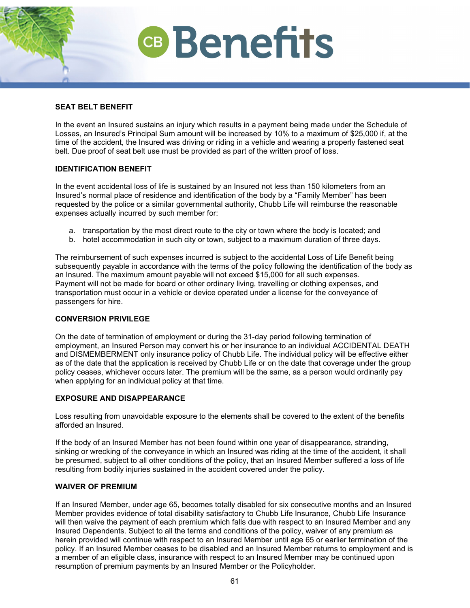### **SEAT BELT BENEFIT**

In the event an Insured sustains an injury which results in a payment being made under the Schedule of Losses, an Insured's Principal Sum amount will be increased by 10% to a maximum of \$25,000 if, at the time of the accident, the Insured was driving or riding in a vehicle and wearing a properly fastened seat belt. Due proof of seat belt use must be provided as part of the written proof of loss.

**CB** Benefits

## **IDENTIFICATION BENEFIT**

In the event accidental loss of life is sustained by an Insured not less than 150 kilometers from an Insured's normal place of residence and identification of the body by a "Family Member" has been requested by the police or a similar governmental authority, Chubb Life will reimburse the reasonable expenses actually incurred by such member for:

- a. transportation by the most direct route to the city or town where the body is located; and
- b. hotel accommodation in such city or town, subject to a maximum duration of three days.

The reimbursement of such expenses incurred is subject to the accidental Loss of Life Benefit being subsequently payable in accordance with the terms of the policy following the identification of the body as an Insured. The maximum amount payable will not exceed \$15,000 for all such expenses. Payment will not be made for board or other ordinary living, travelling or clothing expenses, and transportation must occur in a vehicle or device operated under a license for the conveyance of passengers for hire.

### **CONVERSION PRIVILEGE**

On the date of termination of employment or during the 31-day period following termination of employment, an Insured Person may convert his or her insurance to an individual ACCIDENTAL DEATH and DISMEMBERMENT only insurance policy of Chubb Life. The individual policy will be effective either as of the date that the application is received by Chubb Life or on the date that coverage under the group policy ceases, whichever occurs later. The premium will be the same, as a person would ordinarily pay when applying for an individual policy at that time.

## **EXPOSURE AND DISAPPEARANCE**

Loss resulting from unavoidable exposure to the elements shall be covered to the extent of the benefits afforded an Insured.

If the body of an Insured Member has not been found within one year of disappearance, stranding, sinking or wrecking of the conveyance in which an Insured was riding at the time of the accident, it shall be presumed, subject to all other conditions of the policy, that an Insured Member suffered a loss of life resulting from bodily injuries sustained in the accident covered under the policy.

#### **WAIVER OF PREMIUM**

If an Insured Member, under age 65, becomes totally disabled for six consecutive months and an Insured Member provides evidence of total disability satisfactory to Chubb Life Insurance, Chubb Life Insurance will then waive the payment of each premium which falls due with respect to an Insured Member and any Insured Dependents. Subject to all the terms and conditions of the policy, waiver of any premium as herein provided will continue with respect to an Insured Member until age 65 or earlier termination of the policy. If an Insured Member ceases to be disabled and an Insured Member returns to employment and is a member of an eligible class, insurance with respect to an Insured Member may be continued upon resumption of premium payments by an Insured Member or the Policyholder.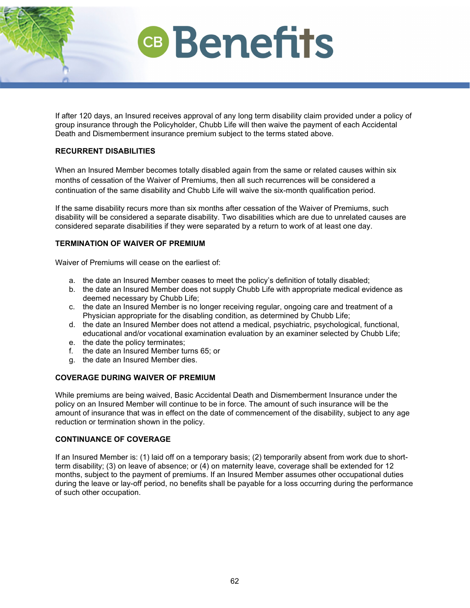

If after 120 days, an Insured receives approval of any long term disability claim provided under a policy of group insurance through the Policyholder, Chubb Life will then waive the payment of each Accidental Death and Dismemberment insurance premium subject to the terms stated above.

## **RECURRENT DISABILITIES**

When an Insured Member becomes totally disabled again from the same or related causes within six months of cessation of the Waiver of Premiums, then all such recurrences will be considered a continuation of the same disability and Chubb Life will waive the six-month qualification period.

If the same disability recurs more than six months after cessation of the Waiver of Premiums, such disability will be considered a separate disability. Two disabilities which are due to unrelated causes are considered separate disabilities if they were separated by a return to work of at least one day.

## **TERMINATION OF WAIVER OF PREMIUM**

Waiver of Premiums will cease on the earliest of:

- a. the date an Insured Member ceases to meet the policy's definition of totally disabled;
- b. the date an Insured Member does not supply Chubb Life with appropriate medical evidence as deemed necessary by Chubb Life;
- c. the date an Insured Member is no longer receiving regular, ongoing care and treatment of a Physician appropriate for the disabling condition, as determined by Chubb Life;
- d. the date an Insured Member does not attend a medical, psychiatric, psychological, functional, educational and/or vocational examination evaluation by an examiner selected by Chubb Life;
- e. the date the policy terminates;
- f. the date an Insured Member turns 65; or
- g. the date an Insured Member dies.

### **COVERAGE DURING WAIVER OF PREMIUM**

While premiums are being waived, Basic Accidental Death and Dismemberment Insurance under the policy on an Insured Member will continue to be in force. The amount of such insurance will be the amount of insurance that was in effect on the date of commencement of the disability, subject to any age reduction or termination shown in the policy.

## **CONTINUANCE OF COVERAGE**

If an Insured Member is: (1) laid off on a temporary basis; (2) temporarily absent from work due to shortterm disability; (3) on leave of absence; or (4) on maternity leave, coverage shall be extended for 12 months, subject to the payment of premiums. If an Insured Member assumes other occupational duties during the leave or lay-off period, no benefits shall be payable for a loss occurring during the performance of such other occupation.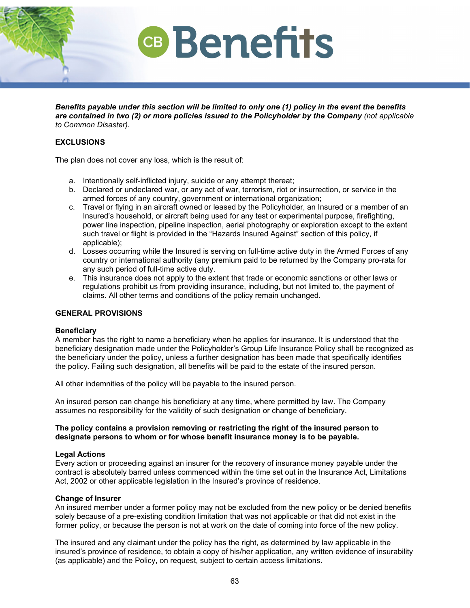

*Benefits payable under this section will be limited to only one (1) policy in the event the benefits are contained in two (2) or more policies issued to the Policyholder by the Company (not applicable to Common Disaster).*

### **EXCLUSIONS**

The plan does not cover any loss, which is the result of:

- a. Intentionally self-inflicted injury, suicide or any attempt thereat;
- b. Declared or undeclared war, or any act of war, terrorism, riot or insurrection, or service in the armed forces of any country, government or international organization;
- c. Travel or flying in an aircraft owned or leased by the Policyholder, an Insured or a member of an Insured's household, or aircraft being used for any test or experimental purpose, firefighting, power line inspection, pipeline inspection, aerial photography or exploration except to the extent such travel or flight is provided in the "Hazards Insured Against" section of this policy, if applicable);
- d. Losses occurring while the Insured is serving on full-time active duty in the Armed Forces of any country or international authority (any premium paid to be returned by the Company pro-rata for any such period of full-time active duty.
- e. This insurance does not apply to the extent that trade or economic sanctions or other laws or regulations prohibit us from providing insurance, including, but not limited to, the payment of claims. All other terms and conditions of the policy remain unchanged.

### **GENERAL PROVISIONS**

#### **Beneficiary**

A member has the right to name a beneficiary when he applies for insurance. It is understood that the beneficiary designation made under the Policyholder's Group Life Insurance Policy shall be recognized as the beneficiary under the policy, unless a further designation has been made that specifically identifies the policy. Failing such designation, all benefits will be paid to the estate of the insured person.

All other indemnities of the policy will be payable to the insured person.

An insured person can change his beneficiary at any time, where permitted by law. The Company assumes no responsibility for the validity of such designation or change of beneficiary.

#### **The policy contains a provision removing or restricting the right of the insured person to designate persons to whom or for whose benefit insurance money is to be payable.**

### **Legal Actions**

Every action or proceeding against an insurer for the recovery of insurance money payable under the contract is absolutely barred unless commenced within the time set out in the Insurance Act, Limitations Act, 2002 or other applicable legislation in the Insured's province of residence.

### **Change of Insurer**

An insured member under a former policy may not be excluded from the new policy or be denied benefits solely because of a pre-existing condition limitation that was not applicable or that did not exist in the former policy, or because the person is not at work on the date of coming into force of the new policy.

The insured and any claimant under the policy has the right, as determined by law applicable in the insured's province of residence, to obtain a copy of his/her application, any written evidence of insurability (as applicable) and the Policy, on request, subject to certain access limitations.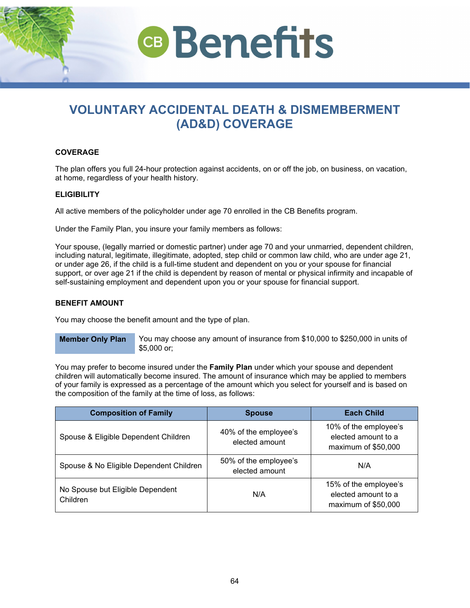<span id="page-62-0"></span>

### **COVERAGE**

The plan offers you full 24-hour protection against accidents, on or off the job, on business, on vacation, at home, regardless of your health history.

#### **ELIGIBILITY**

All active members of the policyholder under age 70 enrolled in the CB Benefits program.

Under the Family Plan, you insure your family members as follows:

Your spouse, (legally married or domestic partner) under age 70 and your unmarried, dependent children, including natural, legitimate, illegitimate, adopted, step child or common law child, who are under age 21, or under age 26, if the child is a full-time student and dependent on you or your spouse for financial support, or over age 21 if the child is dependent by reason of mental or physical infirmity and incapable of self-sustaining employment and dependent upon you or your spouse for financial support.

#### **BENEFIT AMOUNT**

You may choose the benefit amount and the type of plan.

**Member Only Plan** You may choose any amount of insurance from \$10,000 to \$250,000 in units of \$5,000 or;

You may prefer to become insured under the **Family Plan** under which your spouse and dependent children will automatically become insured. The amount of insurance which may be applied to members of your family is expressed as a percentage of the amount which you select for yourself and is based on the composition of the family at the time of loss, as follows:

| <b>Composition of Family</b>                 | <b>Spouse</b>                           | <b>Each Child</b>                                                   |
|----------------------------------------------|-----------------------------------------|---------------------------------------------------------------------|
| Spouse & Eligible Dependent Children         | 40% of the employee's<br>elected amount | 10% of the employee's<br>elected amount to a<br>maximum of \$50,000 |
| Spouse & No Eligible Dependent Children      | 50% of the employee's<br>elected amount | N/A                                                                 |
| No Spouse but Eligible Dependent<br>Children | N/A                                     | 15% of the employee's<br>elected amount to a<br>maximum of \$50,000 |